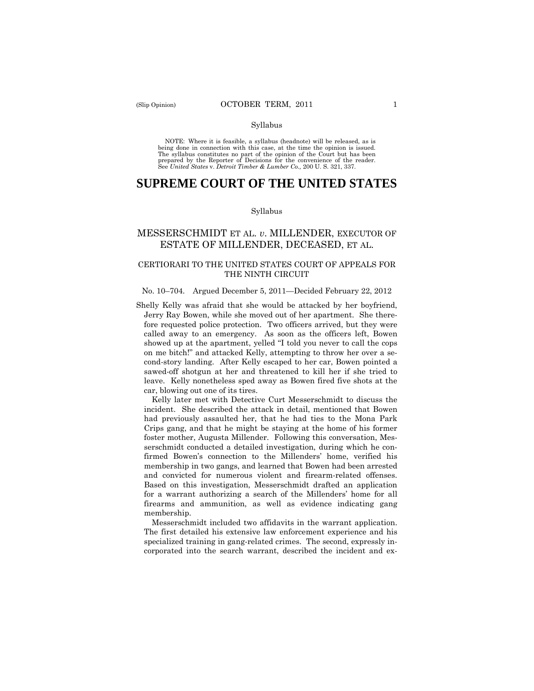NOTE: Where it is feasible, a syllabus (headnote) will be released, as is being done in connection with this case, at the time the opinion is issued. The syllabus constitutes no part of the opinion of the Court but has been<br>prepared by the Reporter of Decisions for the convenience of the reader.<br>See United States v. Detroit Timber & Lumber Co., 200 U.S. 321, 337.

# **SUPREME COURT OF THE UNITED STATES**

#### Syllabus

# MESSERSCHMIDT ET AL. *v*. MILLENDER, EXECUTOR OF ESTATE OF MILLENDER, DECEASED, ET AL.

# CERTIORARI TO THE UNITED STATES COURT OF APPEALS FOR THE NINTH CIRCUIT

### No. 10–704. Argued December 5, 2011—Decided February 22, 2012

Shelly Kelly was afraid that she would be attacked by her boyfriend, Jerry Ray Bowen, while she moved out of her apartment. She therefore requested police protection. Two officers arrived, but they were called away to an emergency. As soon as the officers left, Bowen showed up at the apartment, yelled "I told you never to call the cops on me bitch!" and attacked Kelly, attempting to throw her over a second-story landing. After Kelly escaped to her car, Bowen pointed a sawed-off shotgun at her and threatened to kill her if she tried to leave. Kelly nonetheless sped away as Bowen fired five shots at the car, blowing out one of its tires.

 had previously assaulted her, that he had ties to the Mona Park and convicted for numerous violent and firearm-related offenses. Based on this investigation, Messerschmidt drafted an application Kelly later met with Detective Curt Messerschmidt to discuss the incident. She described the attack in detail, mentioned that Bowen Crips gang, and that he might be staying at the home of his former foster mother, Augusta Millender. Following this conversation, Messerschmidt conducted a detailed investigation, during which he confirmed Bowen's connection to the Millenders' home, verified his membership in two gangs, and learned that Bowen had been arrested for a warrant authorizing a search of the Millenders' home for all firearms and ammunition, as well as evidence indicating gang membership.

Messerschmidt included two affidavits in the warrant application. The first detailed his extensive law enforcement experience and his specialized training in gang-related crimes. The second, expressly incorporated into the search warrant, described the incident and ex-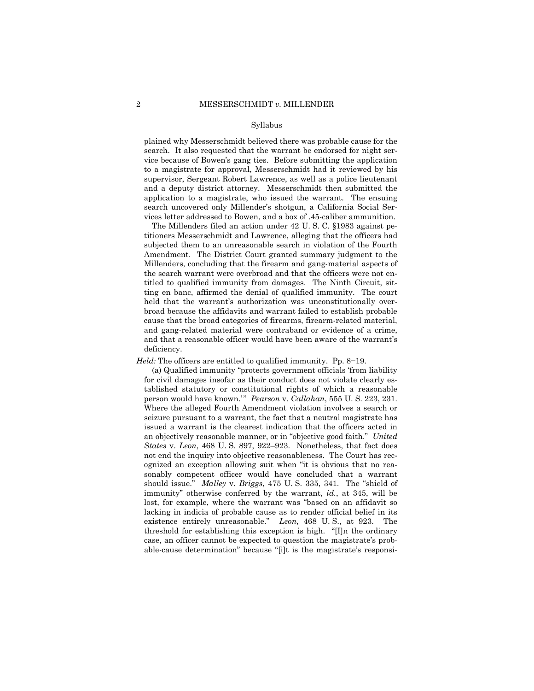application to a magistrate, who issued the warrant. The ensuing plained why Messerschmidt believed there was probable cause for the search. It also requested that the warrant be endorsed for night service because of Bowen's gang ties. Before submitting the application to a magistrate for approval, Messerschmidt had it reviewed by his supervisor, Sergeant Robert Lawrence, as well as a police lieutenant and a deputy district attorney. Messerschmidt then submitted the search uncovered only Millender's shotgun, a California Social Services letter addressed to Bowen, and a box of .45-caliber ammunition.

The Millenders filed an action under 42 U. S. C. §1983 against petitioners Messerschmidt and Lawrence, alleging that the officers had subjected them to an unreasonable search in violation of the Fourth Amendment. The District Court granted summary judgment to the Millenders, concluding that the firearm and gang-material aspects of the search warrant were overbroad and that the officers were not entitled to qualified immunity from damages. The Ninth Circuit, sitting en banc, affirmed the denial of qualified immunity. The court held that the warrant's authorization was unconstitutionally overbroad because the affidavits and warrant failed to establish probable cause that the broad categories of firearms, firearm-related material, and gang-related material were contraband or evidence of a crime, and that a reasonable officer would have been aware of the warrant's deficiency.

*Held:* The officers are entitled to qualified immunity. Pp. 8–19.

(a) Qualified immunity "protects government officials 'from liability for civil damages insofar as their conduct does not violate clearly established statutory or constitutional rights of which a reasonable person would have known.'" *Pearson* v. *Callahan*, 555 U. S. 223, 231. Where the alleged Fourth Amendment violation involves a search or seizure pursuant to a warrant, the fact that a neutral magistrate has issued a warrant is the clearest indication that the officers acted in an objectively reasonable manner, or in "objective good faith." *United States* v. *Leon*, 468 U. S. 897, 922–923. Nonetheless, that fact does not end the inquiry into objective reasonableness. The Court has recognized an exception allowing suit when "it is obvious that no reasonably competent officer would have concluded that a warrant should issue." *Malley* v. *Briggs*, 475 U. S. 335, 341. The "shield of immunity" otherwise conferred by the warrant, *id.*, at 345, will be lost, for example, where the warrant was "based on an affidavit so lacking in indicia of probable cause as to render official belief in its existence entirely unreasonable." *Leon*, 468 U. S., at 923. The threshold for establishing this exception is high. "[I]n the ordinary case, an officer cannot be expected to question the magistrate's probable-cause determination" because "[i]t is the magistrate's responsi-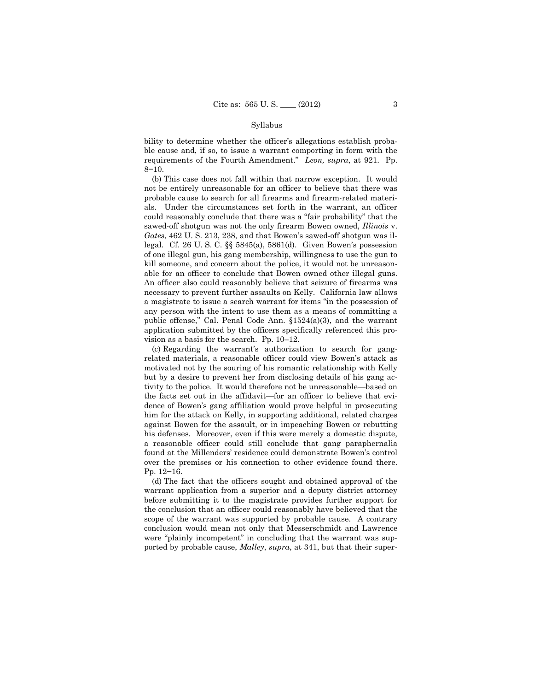bility to determine whether the officer's allegations establish probable cause and, if so, to issue a warrant comporting in form with the requirements of the Fourth Amendment." *Leon, supra*, at 921. Pp. 8−10.

 a magistrate to issue a search warrant for items "in the possession of (b) This case does not fall within that narrow exception. It would not be entirely unreasonable for an officer to believe that there was probable cause to search for all firearms and firearm-related materials. Under the circumstances set forth in the warrant, an officer could reasonably conclude that there was a "fair probability" that the sawed-off shotgun was not the only firearm Bowen owned, *Illinois* v. *Gates*, 462 U. S. 213, 238, and that Bowen's sawed-off shotgun was illegal. Cf. 26 U. S. C. §§ 5845(a), 5861(d). Given Bowen's possession of one illegal gun, his gang membership, willingness to use the gun to kill someone, and concern about the police, it would not be unreasonable for an officer to conclude that Bowen owned other illegal guns. An officer also could reasonably believe that seizure of firearms was necessary to prevent further assaults on Kelly. California law allows any person with the intent to use them as a means of committing a public offense," Cal. Penal Code Ann. §1524(a)(3), and the warrant application submitted by the officers specifically referenced this provision as a basis for the search. Pp. 10–12.

(c) Regarding the warrant's authorization to search for gangrelated materials, a reasonable officer could view Bowen's attack as motivated not by the souring of his romantic relationship with Kelly but by a desire to prevent her from disclosing details of his gang activity to the police. It would therefore not be unreasonable—based on the facts set out in the affidavit—for an officer to believe that evidence of Bowen's gang affiliation would prove helpful in prosecuting him for the attack on Kelly, in supporting additional, related charges against Bowen for the assault, or in impeaching Bowen or rebutting his defenses. Moreover, even if this were merely a domestic dispute, a reasonable officer could still conclude that gang paraphernalia found at the Millenders' residence could demonstrate Bowen's control over the premises or his connection to other evidence found there. Pp. 12−16.

(d) The fact that the officers sought and obtained approval of the warrant application from a superior and a deputy district attorney before submitting it to the magistrate provides further support for the conclusion that an officer could reasonably have believed that the scope of the warrant was supported by probable cause. A contrary conclusion would mean not only that Messerschmidt and Lawrence were "plainly incompetent" in concluding that the warrant was supported by probable cause, *Malley*, *supra*, at 341, but that their super-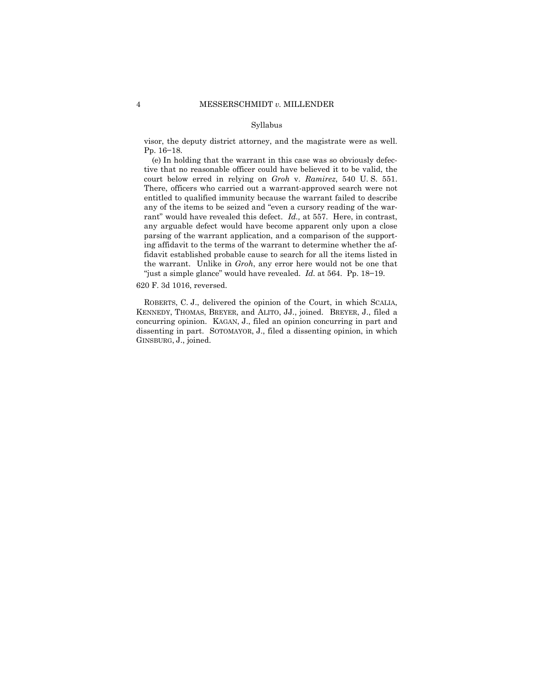visor, the deputy district attorney, and the magistrate were as well. Pp. 16−18.

(e) In holding that the warrant in this case was so obviously defective that no reasonable officer could have believed it to be valid, the court below erred in relying on *Groh* v. *Ramirez*, 540 U. S. 551. There, officers who carried out a warrant-approved search were not entitled to qualified immunity because the warrant failed to describe any of the items to be seized and "even a cursory reading of the warrant" would have revealed this defect. *Id.,* at 557. Here, in contrast, any arguable defect would have become apparent only upon a close parsing of the warrant application, and a comparison of the supporting affidavit to the terms of the warrant to determine whether the affidavit established probable cause to search for all the items listed in the warrant. Unlike in *Groh*, any error here would not be one that "just a simple glance" would have revealed. *Id.* at 564. Pp. 18−19.

620 F. 3d 1016, reversed.

 KENNEDY, THOMAS, BREYER, and ALITO, JJ., joined. BREYER, J., filed a ROBERTS, C. J., delivered the opinion of the Court, in which SCALIA, concurring opinion. KAGAN, J., filed an opinion concurring in part and dissenting in part. SOTOMAYOR, J., filed a dissenting opinion, in which GINSBURG, J., joined.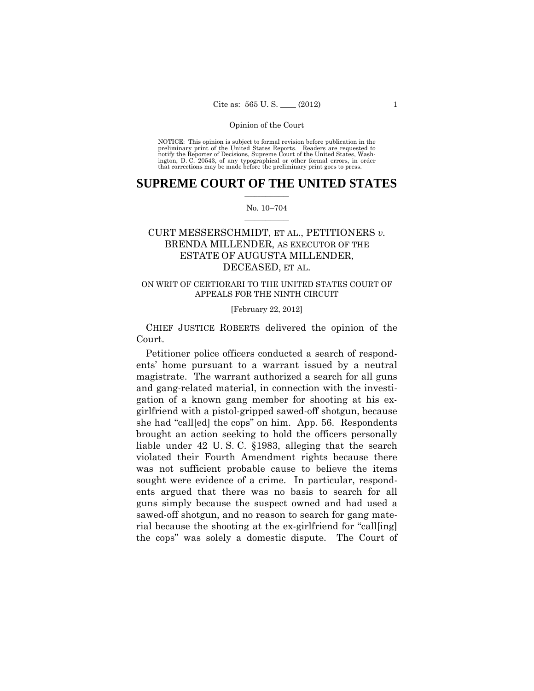preliminary print of the United States Reports. Readers are requested to notify the Reporter of Decisions, Supreme Court of the United States, Wash- ington, D. C. 20543, of any typographical or other formal errors, in order that corrections may be made before the preliminary print goes to press. NOTICE: This opinion is subject to formal revision before publication in the

## $\frac{1}{2}$  ,  $\frac{1}{2}$  ,  $\frac{1}{2}$  ,  $\frac{1}{2}$  ,  $\frac{1}{2}$  ,  $\frac{1}{2}$  ,  $\frac{1}{2}$ **SUPREME COURT OF THE UNITED STATES**

### $\frac{1}{2}$  ,  $\frac{1}{2}$  ,  $\frac{1}{2}$  ,  $\frac{1}{2}$  ,  $\frac{1}{2}$  ,  $\frac{1}{2}$ No. 10–704

# ESTATE OF AUGUSTA MILLENDER, CURT MESSERSCHMIDT, ET AL., PETITIONERS *v.* BRENDA MILLENDER, AS EXECUTOR OF THE DECEASED, ET AL.

# ON WRIT OF CERTIORARI TO THE UNITED STATES COURT OF APPEALS FOR THE NINTH CIRCUIT

### [February 22, 2012]

 CHIEF JUSTICE ROBERTS delivered the opinion of the Court.

Petitioner police officers conducted a search of respondents' home pursuant to a warrant issued by a neutral magistrate. The warrant authorized a search for all guns and gang-related material, in connection with the investigation of a known gang member for shooting at his exgirlfriend with a pistol-gripped sawed-off shotgun, because she had "call[ed] the cops" on him. App. 56. Respondents brought an action seeking to hold the officers personally liable under 42 U. S. C. §1983, alleging that the search violated their Fourth Amendment rights because there was not sufficient probable cause to believe the items sought were evidence of a crime. In particular, respondents argued that there was no basis to search for all guns simply because the suspect owned and had used a sawed-off shotgun, and no reason to search for gang material because the shooting at the ex-girlfriend for "call[ing] the cops" was solely a domestic dispute. The Court of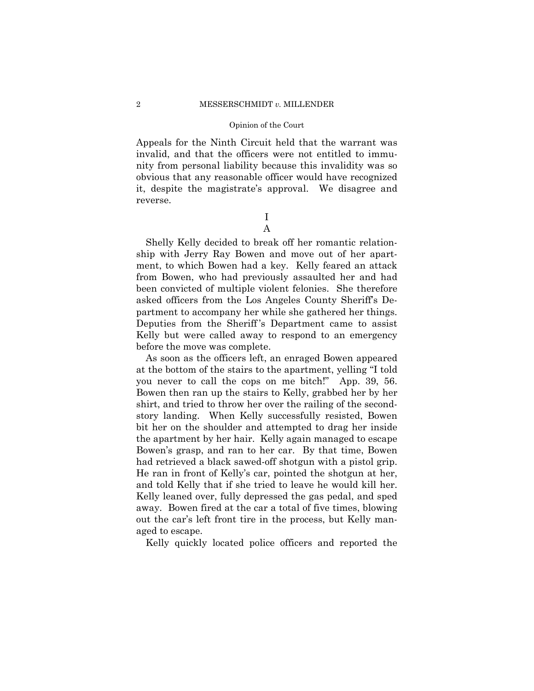Appeals for the Ninth Circuit held that the warrant was invalid, and that the officers were not entitled to immunity from personal liability because this invalidity was so obvious that any reasonable officer would have recognized it, despite the magistrate's approval. We disagree and reverse.

> I A

Shelly Kelly decided to break off her romantic relationship with Jerry Ray Bowen and move out of her apartment, to which Bowen had a key. Kelly feared an attack from Bowen, who had previously assaulted her and had been convicted of multiple violent felonies. She therefore asked officers from the Los Angeles County Sheriff's Department to accompany her while she gathered her things. Deputies from the Sheriff 's Department came to assist Kelly but were called away to respond to an emergency before the move was complete.

As soon as the officers left, an enraged Bowen appeared at the bottom of the stairs to the apartment, yelling "I told you never to call the cops on me bitch!" App. 39, 56. Bowen then ran up the stairs to Kelly, grabbed her by her shirt, and tried to throw her over the railing of the secondstory landing. When Kelly successfully resisted, Bowen bit her on the shoulder and attempted to drag her inside the apartment by her hair. Kelly again managed to escape Bowen's grasp, and ran to her car. By that time, Bowen had retrieved a black sawed-off shotgun with a pistol grip. He ran in front of Kelly's car, pointed the shotgun at her, and told Kelly that if she tried to leave he would kill her. Kelly leaned over, fully depressed the gas pedal, and sped away. Bowen fired at the car a total of five times, blowing out the car's left front tire in the process, but Kelly managed to escape.

Kelly quickly located police officers and reported the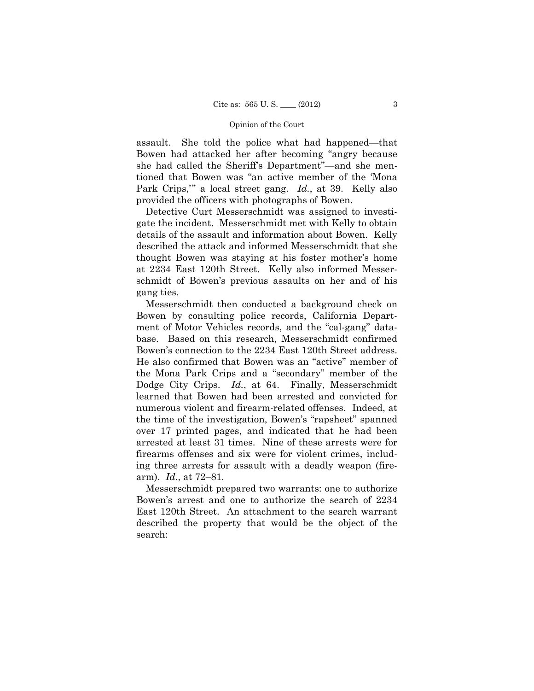Park Crips,'" a local street gang. *Id.*, at 39. Kelly also assault. She told the police what had happened—that Bowen had attacked her after becoming "angry because she had called the Sheriff's Department"—and she mentioned that Bowen was "an active member of the 'Mona provided the officers with photographs of Bowen.

Detective Curt Messerschmidt was assigned to investigate the incident. Messerschmidt met with Kelly to obtain details of the assault and information about Bowen. Kelly described the attack and informed Messerschmidt that she thought Bowen was staying at his foster mother's home at 2234 East 120th Street. Kelly also informed Messerschmidt of Bowen's previous assaults on her and of his gang ties.

 arm). *Id.*, at 72–81*.* Messerschmidt then conducted a background check on Bowen by consulting police records, California Department of Motor Vehicles records, and the "cal-gang" database. Based on this research, Messerschmidt confirmed Bowen's connection to the 2234 East 120th Street address. He also confirmed that Bowen was an "active" member of the Mona Park Crips and a "secondary" member of the Dodge City Crips. *Id.*, at 64. Finally, Messerschmidt learned that Bowen had been arrested and convicted for numerous violent and firearm-related offenses. Indeed, at the time of the investigation, Bowen's "rapsheet" spanned over 17 printed pages, and indicated that he had been arrested at least 31 times. Nine of these arrests were for firearms offenses and six were for violent crimes, including three arrests for assault with a deadly weapon (fire-

Messerschmidt prepared two warrants: one to authorize Bowen's arrest and one to authorize the search of 2234 East 120th Street. An attachment to the search warrant described the property that would be the object of the search: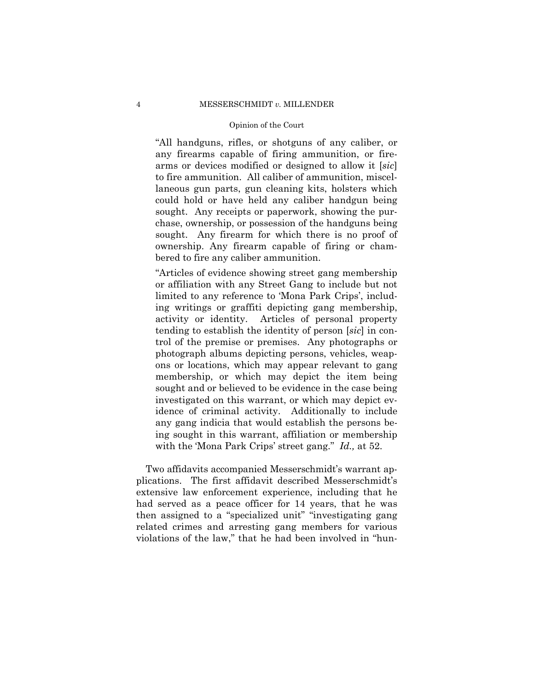"All handguns, rifles, or shotguns of any caliber, or any firearms capable of firing ammunition, or firearms or devices modified or designed to allow it [*sic*] to fire ammunition. All caliber of ammunition, miscellaneous gun parts, gun cleaning kits, holsters which could hold or have held any caliber handgun being sought. Any receipts or paperwork, showing the purchase, ownership, or possession of the handguns being sought. Any firearm for which there is no proof of ownership. Any firearm capable of firing or chambered to fire any caliber ammunition.

"Articles of evidence showing street gang membership or affiliation with any Street Gang to include but not limited to any reference to 'Mona Park Crips', including writings or graffiti depicting gang membership, activity or identity. Articles of personal property tending to establish the identity of person [*sic*] in control of the premise or premises. Any photographs or photograph albums depicting persons, vehicles, weapons or locations, which may appear relevant to gang membership, or which may depict the item being sought and or believed to be evidence in the case being investigated on this warrant, or which may depict evidence of criminal activity. Additionally to include any gang indicia that would establish the persons being sought in this warrant, affiliation or membership with the 'Mona Park Crips' street gang." *Id.,* at 52.

Two affidavits accompanied Messerschmidt's warrant applications. The first affidavit described Messerschmidt's extensive law enforcement experience, including that he had served as a peace officer for 14 years, that he was then assigned to a "specialized unit" "investigating gang related crimes and arresting gang members for various violations of the law," that he had been involved in "hun-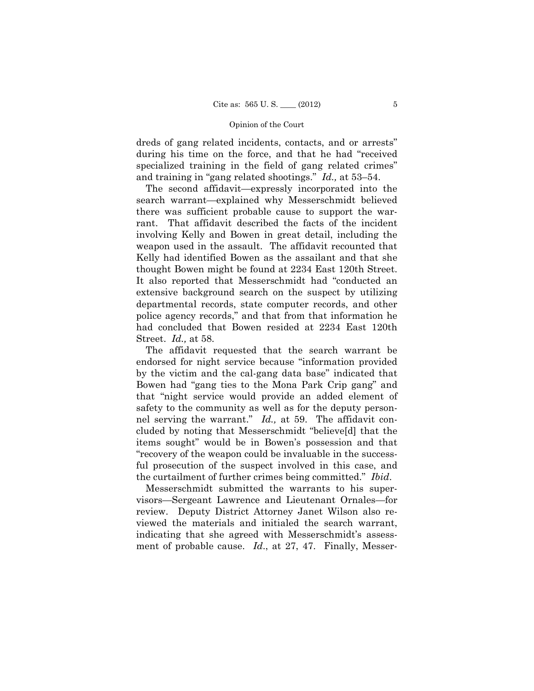dreds of gang related incidents, contacts, and or arrests" during his time on the force, and that he had "received specialized training in the field of gang related crimes" and training in "gang related shootings." *Id.,* at 53–54.

The second affidavit—expressly incorporated into the search warrant—explained why Messerschmidt believed there was sufficient probable cause to support the warrant. That affidavit described the facts of the incident involving Kelly and Bowen in great detail, including the weapon used in the assault. The affidavit recounted that Kelly had identified Bowen as the assailant and that she thought Bowen might be found at 2234 East 120th Street. It also reported that Messerschmidt had "conducted an extensive background search on the suspect by utilizing departmental records, state computer records, and other police agency records," and that from that information he had concluded that Bowen resided at 2234 East 120th Street. *Id.,* at 58.

The affidavit requested that the search warrant be endorsed for night service because "information provided by the victim and the cal-gang data base" indicated that Bowen had "gang ties to the Mona Park Crip gang" and that "night service would provide an added element of safety to the community as well as for the deputy personnel serving the warrant." *Id.,* at 59. The affidavit concluded by noting that Messerschmidt "believe[d] that the items sought" would be in Bowen's possession and that "recovery of the weapon could be invaluable in the successful prosecution of the suspect involved in this case, and the curtailment of further crimes being committed." *Ibid*.

Messerschmidt submitted the warrants to his supervisors—Sergeant Lawrence and Lieutenant Ornales—for review. Deputy District Attorney Janet Wilson also reviewed the materials and initialed the search warrant, indicating that she agreed with Messerschmidt's assessment of probable cause. *Id*., at 27, 47. Finally, Messer-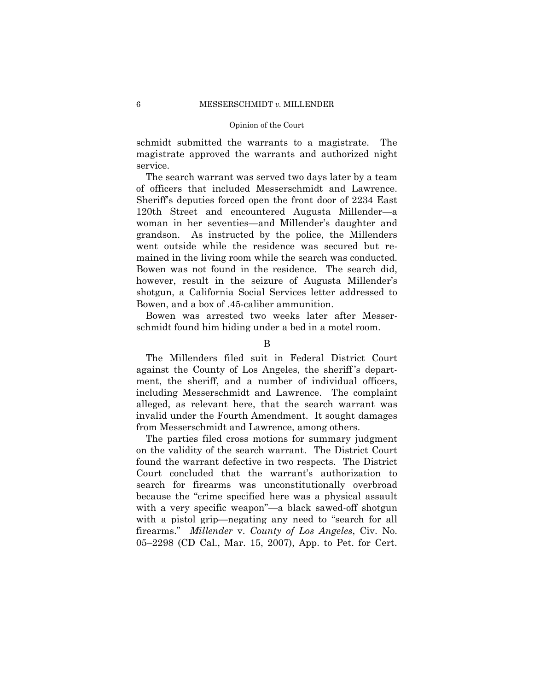schmidt submitted the warrants to a magistrate. The magistrate approved the warrants and authorized night service.

The search warrant was served two days later by a team of officers that included Messerschmidt and Lawrence. Sheriff's deputies forced open the front door of 2234 East 120th Street and encountered Augusta Millender—a woman in her seventies—and Millender's daughter and grandson. As instructed by the police, the Millenders went outside while the residence was secured but remained in the living room while the search was conducted. Bowen was not found in the residence. The search did, however, result in the seizure of Augusta Millender's shotgun, a California Social Services letter addressed to Bowen, and a box of .45-caliber ammunition.

Bowen was arrested two weeks later after Messerschmidt found him hiding under a bed in a motel room.

B

The Millenders filed suit in Federal District Court against the County of Los Angeles, the sheriff 's department, the sheriff, and a number of individual officers, including Messerschmidt and Lawrence. The complaint alleged, as relevant here, that the search warrant was invalid under the Fourth Amendment. It sought damages from Messerschmidt and Lawrence, among others.

The parties filed cross motions for summary judgment on the validity of the search warrant. The District Court found the warrant defective in two respects. The District Court concluded that the warrant's authorization to search for firearms was unconstitutionally overbroad because the "crime specified here was a physical assault with a very specific weapon"—a black sawed-off shotgun with a pistol grip—negating any need to "search for all firearms." *Millender* v. *County of Los Angeles*, Civ. No. 05–2298 (CD Cal., Mar. 15, 2007), App. to Pet. for Cert.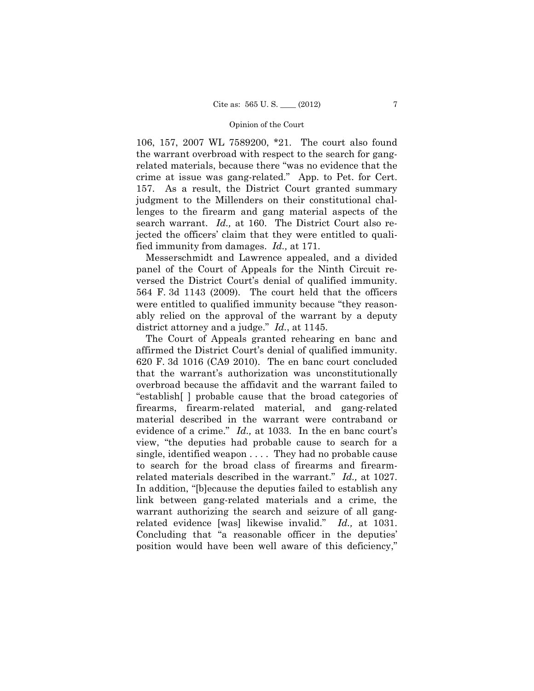106, 157, 2007 WL 7589200, \*21. The court also found the warrant overbroad with respect to the search for gangrelated materials, because there "was no evidence that the crime at issue was gang-related." App. to Pet. for Cert. 157. As a result, the District Court granted summary judgment to the Millenders on their constitutional challenges to the firearm and gang material aspects of the search warrant. *Id.,* at 160. The District Court also rejected the officers' claim that they were entitled to qualified immunity from damages. *Id.,* at 171.

Messerschmidt and Lawrence appealed, and a divided panel of the Court of Appeals for the Ninth Circuit reversed the District Court's denial of qualified immunity. 564 F. 3d 1143 (2009). The court held that the officers were entitled to qualified immunity because "they reasonably relied on the approval of the warrant by a deputy district attorney and a judge." *Id.*, at 1145.

The Court of Appeals granted rehearing en banc and affirmed the District Court's denial of qualified immunity. 620 F. 3d 1016 (CA9 2010). The en banc court concluded that the warrant's authorization was unconstitutionally overbroad because the affidavit and the warrant failed to "establish[ ] probable cause that the broad categories of firearms, firearm-related material, and gang-related material described in the warrant were contraband or evidence of a crime." *Id.,* at 1033. In the en banc court's view, "the deputies had probable cause to search for a single, identified weapon . . . . They had no probable cause to search for the broad class of firearms and firearmrelated materials described in the warrant." *Id.,* at 1027. In addition, "[b]ecause the deputies failed to establish any link between gang-related materials and a crime, the warrant authorizing the search and seizure of all gangrelated evidence [was] likewise invalid." *Id.,* at 1031. Concluding that "a reasonable officer in the deputies' position would have been well aware of this deficiency,"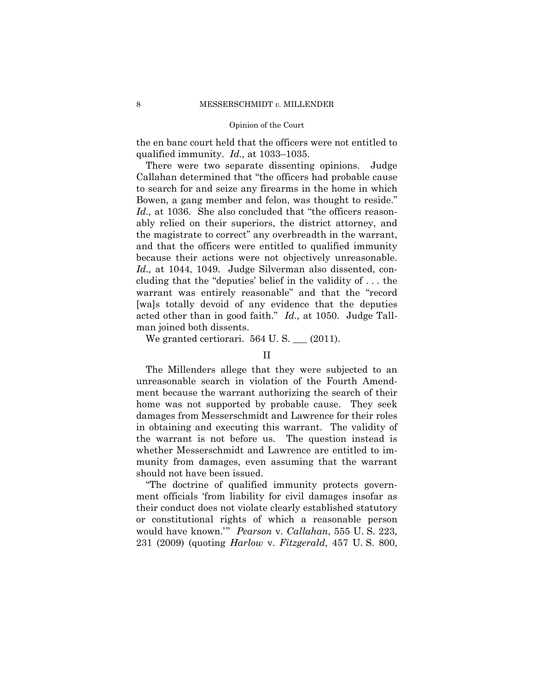the en banc court held that the officers were not entitled to qualified immunity. *Id.,* at 1033–1035.

Id., at 1044, 1049. Judge Silverman also dissented, con-There were two separate dissenting opinions. Judge Callahan determined that "the officers had probable cause to search for and seize any firearms in the home in which Bowen, a gang member and felon, was thought to reside." Id., at 1036. She also concluded that "the officers reasonably relied on their superiors, the district attorney, and the magistrate to correct" any overbreadth in the warrant, and that the officers were entitled to qualified immunity because their actions were not objectively unreasonable. cluding that the "deputies' belief in the validity of . . . the warrant was entirely reasonable" and that the "record [wa]s totally devoid of any evidence that the deputies acted other than in good faith." *Id.,* at 1050. Judge Tallman joined both dissents.

We granted certiorari.  $564$  U.S.  $\qquad$  (2011).

# II

The Millenders allege that they were subjected to an unreasonable search in violation of the Fourth Amendment because the warrant authorizing the search of their home was not supported by probable cause. They seek damages from Messerschmidt and Lawrence for their roles in obtaining and executing this warrant. The validity of the warrant is not before us. The question instead is whether Messerschmidt and Lawrence are entitled to immunity from damages, even assuming that the warrant should not have been issued.

"The doctrine of qualified immunity protects government officials 'from liability for civil damages insofar as their conduct does not violate clearly established statutory or constitutional rights of which a reasonable person would have known.'" *Pearson* v. *Callahan*, 555 U. S. 223, 231 (2009) (quoting *Harlow* v. *Fitzgerald*, 457 U. S. 800,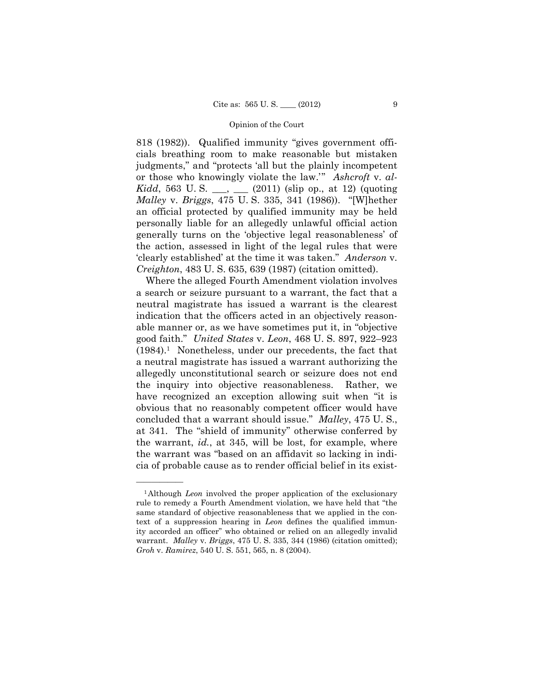818 (1982)). Qualified immunity "gives government officials breathing room to make reasonable but mistaken judgments," and "protects 'all but the plainly incompetent or those who knowingly violate the law.'" *Ashcroft* v. *al-Kidd*, 563 U.S. \_\_, \_\_ (2011) (slip op., at 12) (quoting *Malley* v. *Briggs*, 475 U. S. 335, 341 (1986)). "[W]hether an official protected by qualified immunity may be held personally liable for an allegedly unlawful official action generally turns on the 'objective legal reasonableness' of the action, assessed in light of the legal rules that were 'clearly established' at the time it was taken." *Anderson* v. *Creighton*, 483 U. S. 635, 639 (1987) (citation omitted).

Where the alleged Fourth Amendment violation involves a search or seizure pursuant to a warrant, the fact that a neutral magistrate has issued a warrant is the clearest indication that the officers acted in an objectively reasonable manner or, as we have sometimes put it, in "objective good faith." *United States* v. *Leon*, 468 U. S. 897, 922–923  $(1984).<sup>1</sup>$  Nonetheless, under our precedents, the fact that a neutral magistrate has issued a warrant authorizing the allegedly unconstitutional search or seizure does not end the inquiry into objective reasonableness. Rather, we have recognized an exception allowing suit when "it is obvious that no reasonably competent officer would have concluded that a warrant should issue." *Malley*, 475 U. S., at 341. The "shield of immunity" otherwise conferred by the warrant, *id.*, at 345, will be lost, for example, where the warrant was "based on an affidavit so lacking in indicia of probable cause as to render official belief in its exist-

<sup>&</sup>lt;sup>1</sup>Although *Leon* involved the proper application of the exclusionary rule to remedy a Fourth Amendment violation, we have held that "the same standard of objective reasonableness that we applied in the context of a suppression hearing in *Leon* defines the qualified immunity accorded an officer" who obtained or relied on an allegedly invalid warrant. *Malley* v. *Briggs*, 475 U. S. 335, 344 (1986) (citation omitted); *Groh* v. *Ramirez*, 540 U. S. 551, 565, n. 8 (2004).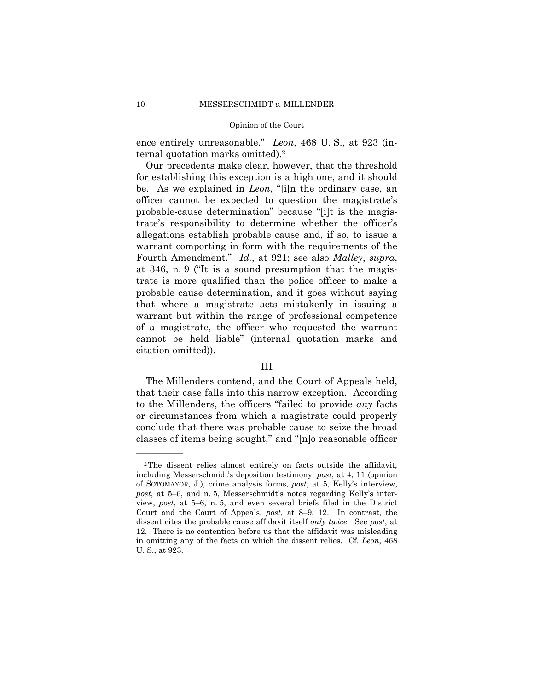ence entirely unreasonable." *Leon*, 468 U. S., at 923 (internal quotation marks omitted).2

Our precedents make clear, however, that the threshold for establishing this exception is a high one, and it should be. As we explained in *Leon*, "[i]n the ordinary case, an officer cannot be expected to question the magistrate's probable-cause determination" because "[i]t is the magistrate's responsibility to determine whether the officer's allegations establish probable cause and, if so, to issue a warrant comporting in form with the requirements of the Fourth Amendment." *Id.*, at 921; see also *Malley*, *supra*, at 346, n. 9 ("It is a sound presumption that the magistrate is more qualified than the police officer to make a probable cause determination, and it goes without saying that where a magistrate acts mistakenly in issuing a warrant but within the range of professional competence of a magistrate, the officer who requested the warrant cannot be held liable" (internal quotation marks and citation omitted)).

### III

The Millenders contend, and the Court of Appeals held, that their case falls into this narrow exception. According to the Millenders, the officers "failed to provide *any* facts or circumstances from which a magistrate could properly conclude that there was probable cause to seize the broad classes of items being sought," and "[n]o reasonable officer

<sup>2</sup>The dissent relies almost entirely on facts outside the affidavit, including Messerschmidt's deposition testimony, *post*, at 4, 11 (opinion of SOTOMAYOR, J.), crime analysis forms, *post*, at 5, Kelly's interview, *post*, at 5–6, and n. 5, Messerschmidt's notes regarding Kelly's interview, *post*, at 5–6, n. 5, and even several briefs filed in the District Court and the Court of Appeals, *post*, at 8–9, 12. In contrast, the dissent cites the probable cause affidavit itself *only twice*. See *post*, at 12. There is no contention before us that the affidavit was misleading in omitting any of the facts on which the dissent relies. Cf. *Leon*, 468 U. S., at 923.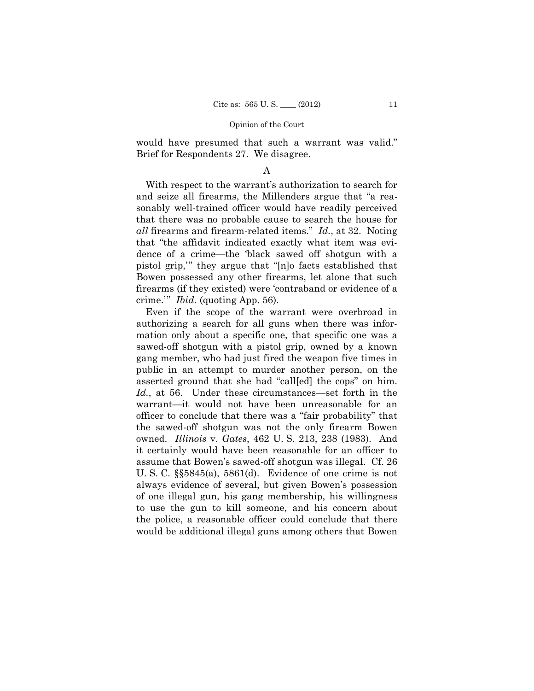would have presumed that such a warrant was valid." Brief for Respondents 27. We disagree.

### A

With respect to the warrant's authorization to search for and seize all firearms, the Millenders argue that "a reasonably well-trained officer would have readily perceived that there was no probable cause to search the house for *all* firearms and firearm-related items." *Id.*, at 32. Noting that "the affidavit indicated exactly what item was evidence of a crime—the 'black sawed off shotgun with a pistol grip,'" they argue that "[n]o facts established that Bowen possessed any other firearms, let alone that such firearms (if they existed) were 'contraband or evidence of a crime.'" *Ibid.* (quoting App. 56).

Even if the scope of the warrant were overbroad in authorizing a search for all guns when there was information only about a specific one, that specific one was a sawed-off shotgun with a pistol grip, owned by a known gang member, who had just fired the weapon five times in public in an attempt to murder another person, on the asserted ground that she had "call[ed] the cops" on him. *Id.*, at 56. Under these circumstances—set forth in the warrant—it would not have been unreasonable for an officer to conclude that there was a "fair probability" that the sawed-off shotgun was not the only firearm Bowen owned. *Illinois* v. *Gates*, 462 U. S. 213, 238 (1983). And it certainly would have been reasonable for an officer to assume that Bowen's sawed-off shotgun was illegal. Cf. 26 U. S. C. §§5845(a), 5861(d). Evidence of one crime is not always evidence of several, but given Bowen's possession of one illegal gun, his gang membership, his willingness to use the gun to kill someone, and his concern about the police, a reasonable officer could conclude that there would be additional illegal guns among others that Bowen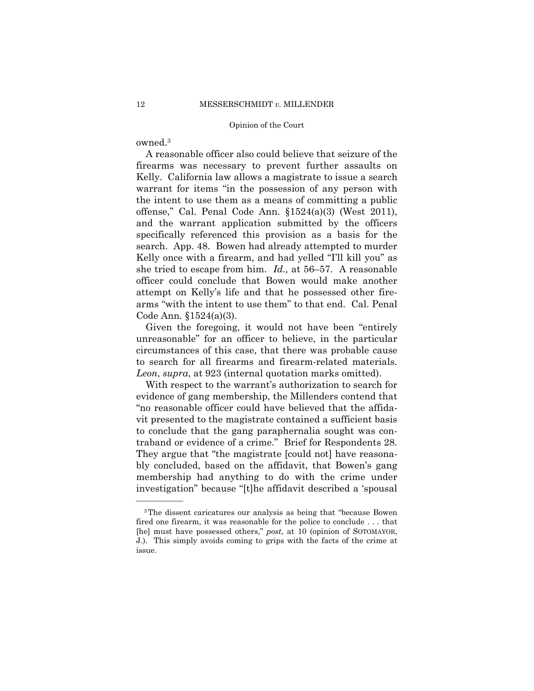owned.3

——————

A reasonable officer also could believe that seizure of the firearms was necessary to prevent further assaults on Kelly. California law allows a magistrate to issue a search warrant for items "in the possession of any person with the intent to use them as a means of committing a public offense," Cal. Penal Code Ann. §1524(a)(3) (West 2011), and the warrant application submitted by the officers specifically referenced this provision as a basis for the search. App. 48. Bowen had already attempted to murder Kelly once with a firearm, and had yelled "I'll kill you" as she tried to escape from him. *Id.,* at 56–57. A reasonable officer could conclude that Bowen would make another attempt on Kelly's life and that he possessed other firearms "with the intent to use them" to that end. Cal. Penal Code Ann. §1524(a)(3).

 to search for all firearms and firearm-related materials. Given the foregoing, it would not have been "entirely unreasonable" for an officer to believe, in the particular circumstances of this case, that there was probable cause *Leon*, *supra*, at 923 (internal quotation marks omitted).

With respect to the warrant's authorization to search for evidence of gang membership, the Millenders contend that "no reasonable officer could have believed that the affidavit presented to the magistrate contained a sufficient basis to conclude that the gang paraphernalia sought was contraband or evidence of a crime." Brief for Respondents 28. They argue that "the magistrate [could not] have reasonably concluded, based on the affidavit, that Bowen's gang membership had anything to do with the crime under investigation" because "[t]he affidavit described a 'spousal

<sup>3</sup>The dissent caricatures our analysis as being that "because Bowen fired one firearm, it was reasonable for the police to conclude . . . that [he] must have possessed others," *post*, at 10 (opinion of SOTOMAYOR, J.). This simply avoids coming to grips with the facts of the crime at issue.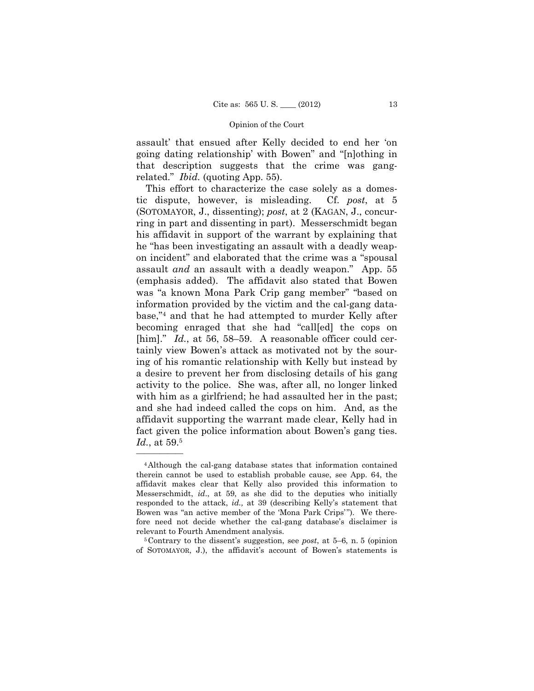assault' that ensued after Kelly decided to end her 'on going dating relationship' with Bowen" and "[n]othing in that description suggests that the crime was gangrelated." *Ibid.* (quoting App. 55).

This effort to characterize the case solely as a domestic dispute, however, is misleading. Cf. *post*, at 5 (SOTOMAYOR, J., dissenting); *post*, at 2 (KAGAN, J., concurring in part and dissenting in part). Messerschmidt began his affidavit in support of the warrant by explaining that he "has been investigating an assault with a deadly weapon incident" and elaborated that the crime was a "spousal assault *and* an assault with a deadly weapon." App. 55 (emphasis added). The affidavit also stated that Bowen was "a known Mona Park Crip gang member" "based on information provided by the victim and the cal-gang database,"4 and that he had attempted to murder Kelly after becoming enraged that she had "call[ed] the cops on [him]." *Id.*, at 56, 58–59. A reasonable officer could certainly view Bowen's attack as motivated not by the souring of his romantic relationship with Kelly but instead by a desire to prevent her from disclosing details of his gang activity to the police. She was, after all, no longer linked with him as a girlfriend; he had assaulted her in the past; and she had indeed called the cops on him. And, as the affidavit supporting the warrant made clear, Kelly had in fact given the police information about Bowen's gang ties. *Id.*, at 59.5

<sup>4</sup>Although the cal-gang database states that information contained therein cannot be used to establish probable cause, see App. 64, the affidavit makes clear that Kelly also provided this information to Messerschmidt, *id*., at 59, as she did to the deputies who initially responded to the attack, *id.,* at 39 (describing Kelly's statement that Bowen was "an active member of the 'Mona Park Crips'"). We therefore need not decide whether the cal-gang database's disclaimer is

relevant to Fourth Amendment analysis.<br><sup>5</sup>Contrary to the dissent's suggestion, see *post*, at 5–6, n. 5 (opinion of SOTOMAYOR, J.), the affidavit's account of Bowen's statements is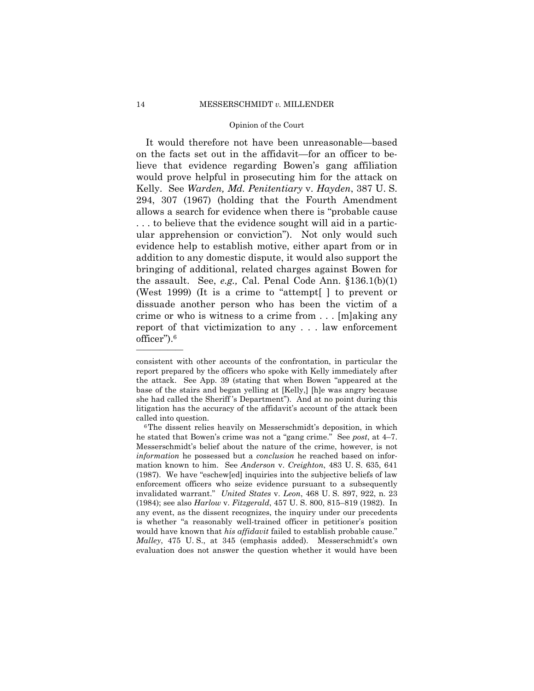officer").6 It would therefore not have been unreasonable—based on the facts set out in the affidavit—for an officer to believe that evidence regarding Bowen's gang affiliation would prove helpful in prosecuting him for the attack on Kelly. See *Warden, Md. Penitentiary* v. *Hayden*, 387 U. S. 294, 307 (1967) (holding that the Fourth Amendment allows a search for evidence when there is "probable cause . . . to believe that the evidence sought will aid in a particular apprehension or conviction"). Not only would such evidence help to establish motive, either apart from or in addition to any domestic dispute, it would also support the bringing of additional, related charges against Bowen for the assault. See, *e.g.,* Cal. Penal Code Ann. §136.1(b)(1) (West 1999) (It is a crime to "attempt[ ] to prevent or dissuade another person who has been the victim of a crime or who is witness to a crime from . . . [m]aking any report of that victimization to any . . . law enforcement

consistent with other accounts of the confrontation, in particular the report prepared by the officers who spoke with Kelly immediately after the attack. See App. 39 (stating that when Bowen "appeared at the base of the stairs and began yelling at [Kelly,] [h]e was angry because she had called the Sheriff 's Department"). And at no point during this litigation has the accuracy of the affidavit's account of the attack been

called into question.<br><sup>6</sup>The dissent relies heavily on Messerschmidt's deposition, in which he stated that Bowen's crime was not a "gang crime." See *post*, at 4–7. Messerschmidt's belief about the nature of the crime, however, is not *information* he possessed but a *conclusion* he reached based on information known to him. See *Anderson* v. *Creighton*, 483 U. S. 635, 641 (1987). We have "eschew[ed] inquiries into the subjective beliefs of law enforcement officers who seize evidence pursuant to a subsequently invalidated warrant." *United States* v. *Leon*, 468 U. S. 897, 922, n. 23 (1984); see also *Harlow* v. *Fitzgerald*, 457 U. S. 800, 815–819 (1982). In any event, as the dissent recognizes, the inquiry under our precedents is whether "a reasonably well-trained officer in petitioner's position would have known that *his affidavit* failed to establish probable cause." *Malley*, 475 U. S., at 345 (emphasis added). Messerschmidt's own evaluation does not answer the question whether it would have been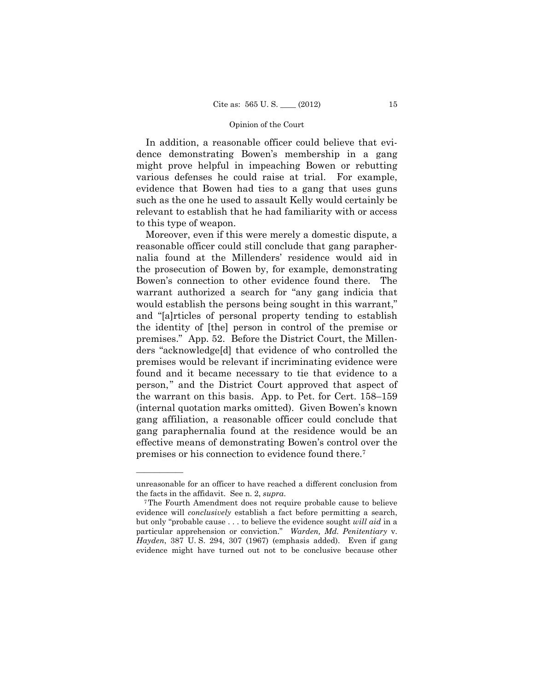In addition, a reasonable officer could believe that evidence demonstrating Bowen's membership in a gang might prove helpful in impeaching Bowen or rebutting various defenses he could raise at trial. For example, evidence that Bowen had ties to a gang that uses guns such as the one he used to assault Kelly would certainly be relevant to establish that he had familiarity with or access to this type of weapon.

 (internal quotation marks omitted). Given Bowen's known Moreover, even if this were merely a domestic dispute, a reasonable officer could still conclude that gang paraphernalia found at the Millenders' residence would aid in the prosecution of Bowen by, for example, demonstrating Bowen's connection to other evidence found there. The warrant authorized a search for "any gang indicia that would establish the persons being sought in this warrant," and "[a]rticles of personal property tending to establish the identity of [the] person in control of the premise or premises." App. 52. Before the District Court, the Millenders "acknowledge[d] that evidence of who controlled the premises would be relevant if incriminating evidence were found and it became necessary to tie that evidence to a person," and the District Court approved that aspect of the warrant on this basis. App. to Pet. for Cert. 158–159 gang affiliation, a reasonable officer could conclude that gang paraphernalia found at the residence would be an effective means of demonstrating Bowen's control over the premises or his connection to evidence found there.7

unreasonable for an officer to have reached a different conclusion from the facts in the affidavit. See n. 2, *supra*.<br><sup>7</sup>The Fourth Amendment does not require probable cause to believe

 but only "probable cause . . . to believe the evidence sought *will aid* in a evidence will *conclusively* establish a fact before permitting a search, particular apprehension or conviction." *Warden, Md. Penitentiary* v. *Hayden*, 387 U. S. 294, 307 (1967) (emphasis added). Even if gang evidence might have turned out not to be conclusive because other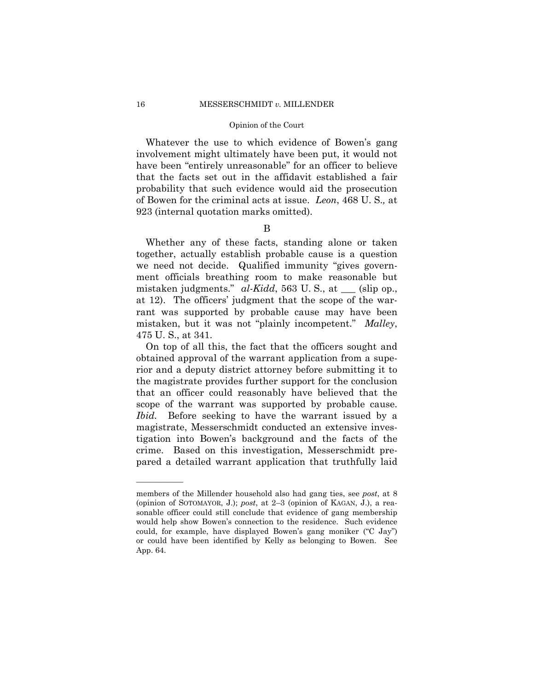Whatever the use to which evidence of Bowen's gang involvement might ultimately have been put, it would not have been "entirely unreasonable" for an officer to believe that the facts set out in the affidavit established a fair probability that such evidence would aid the prosecution of Bowen for the criminal acts at issue. *Leon*, 468 U. S.*,* at 923 (internal quotation marks omitted).

## B

Whether any of these facts, standing alone or taken together, actually establish probable cause is a question we need not decide. Qualified immunity "gives government officials breathing room to make reasonable but mistaken judgments." *al-Kidd*, 563 U. S., at \_\_\_ (slip op., at 12). The officers' judgment that the scope of the warrant was supported by probable cause may have been mistaken, but it was not "plainly incompetent." *Malley*, 475 U. S., at 341.

On top of all this, the fact that the officers sought and obtained approval of the warrant application from a superior and a deputy district attorney before submitting it to the magistrate provides further support for the conclusion that an officer could reasonably have believed that the scope of the warrant was supported by probable cause. *Ibid.* Before seeking to have the warrant issued by a magistrate, Messerschmidt conducted an extensive investigation into Bowen's background and the facts of the crime. Based on this investigation, Messerschmidt prepared a detailed warrant application that truthfully laid

members of the Millender household also had gang ties, see *post*, at 8 (opinion of SOTOMAYOR, J.); *post*, at 2–3 (opinion of KAGAN, J.), a reasonable officer could still conclude that evidence of gang membership would help show Bowen's connection to the residence. Such evidence could, for example, have displayed Bowen's gang moniker ("C Jay") or could have been identified by Kelly as belonging to Bowen. See App. 64.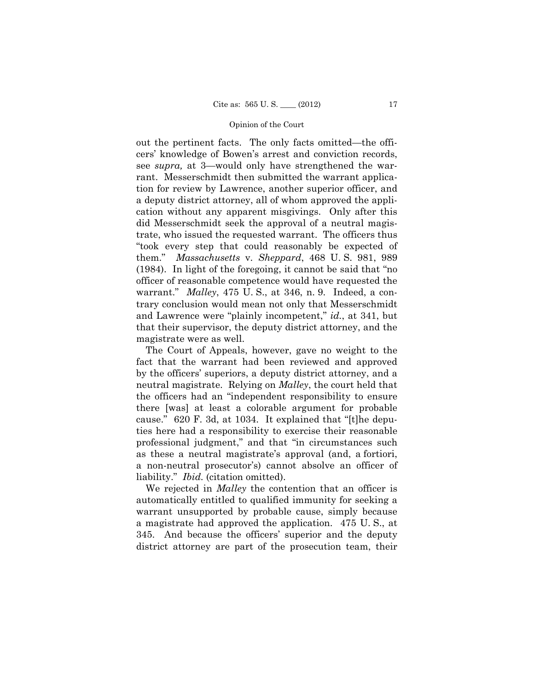out the pertinent facts. The only facts omitted—the officers' knowledge of Bowen's arrest and conviction records, see *supra,* at 3—would only have strengthened the warrant. Messerschmidt then submitted the warrant application for review by Lawrence, another superior officer, and a deputy district attorney, all of whom approved the application without any apparent misgivings. Only after this did Messerschmidt seek the approval of a neutral magistrate, who issued the requested warrant. The officers thus "took every step that could reasonably be expected of them." *Massachusetts* v. *Sheppard*, 468 U. S. 981, 989 (1984). In light of the foregoing, it cannot be said that "no officer of reasonable competence would have requested the warrant." *Malley*, 475 U. S., at 346, n. 9. Indeed, a contrary conclusion would mean not only that Messerschmidt and Lawrence were "plainly incompetent," *id.*, at 341, but that their supervisor, the deputy district attorney, and the magistrate were as well.

The Court of Appeals, however, gave no weight to the fact that the warrant had been reviewed and approved by the officers' superiors, a deputy district attorney, and a neutral magistrate. Relying on *Malley*, the court held that the officers had an "independent responsibility to ensure there [was] at least a colorable argument for probable cause." 620 F. 3d, at 1034. It explained that "[t]he deputies here had a responsibility to exercise their reasonable professional judgment," and that "in circumstances such as these a neutral magistrate's approval (and, a fortiori, a non-neutral prosecutor's) cannot absolve an officer of liability." *Ibid.* (citation omitted).

We rejected in *Malley* the contention that an officer is automatically entitled to qualified immunity for seeking a warrant unsupported by probable cause, simply because a magistrate had approved the application. 475 U. S., at 345. And because the officers' superior and the deputy district attorney are part of the prosecution team, their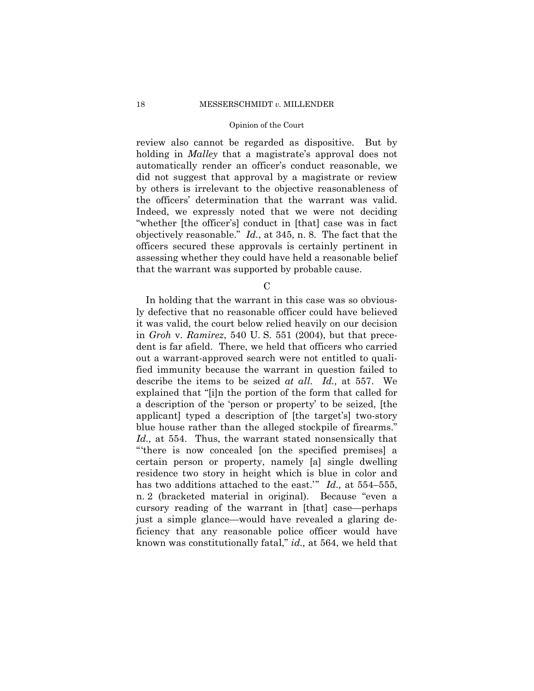review also cannot be regarded as dispositive. But by holding in *Malley* that a magistrate's approval does not automatically render an officer's conduct reasonable, we did not suggest that approval by a magistrate or review by others is irrelevant to the objective reasonableness of the officers' determination that the warrant was valid. Indeed, we expressly noted that we were not deciding "whether [the officer's] conduct in [that] case was in fact objectively reasonable." *Id.*, at 345, n. 8. The fact that the officers secured these approvals is certainly pertinent in assessing whether they could have held a reasonable belief that the warrant was supported by probable cause.

 $\mathcal{C}$ 

In holding that the warrant in this case was so obviously defective that no reasonable officer could have believed it was valid, the court below relied heavily on our decision in *Groh* v. *Ramirez*, 540 U. S. 551 (2004), but that precedent is far afield. There, we held that officers who carried out a warrant-approved search were not entitled to qualified immunity because the warrant in question failed to describe the items to be seized *at all*. *Id.,* at 557. We explained that "[i]n the portion of the form that called for a description of the 'person or property' to be seized, [the applicant] typed a description of [the target's] two-story blue house rather than the alleged stockpile of firearms." *Id.,* at 554. Thus, the warrant stated nonsensically that "'there is now concealed [on the specified premises] a certain person or property, namely [a] single dwelling residence two story in height which is blue in color and has two additions attached to the east.'" *Id.,* at 554–555, n. 2 (bracketed material in original). Because "even a cursory reading of the warrant in [that] case—perhaps just a simple glance—would have revealed a glaring deficiency that any reasonable police officer would have known was constitutionally fatal," *id.,* at 564, we held that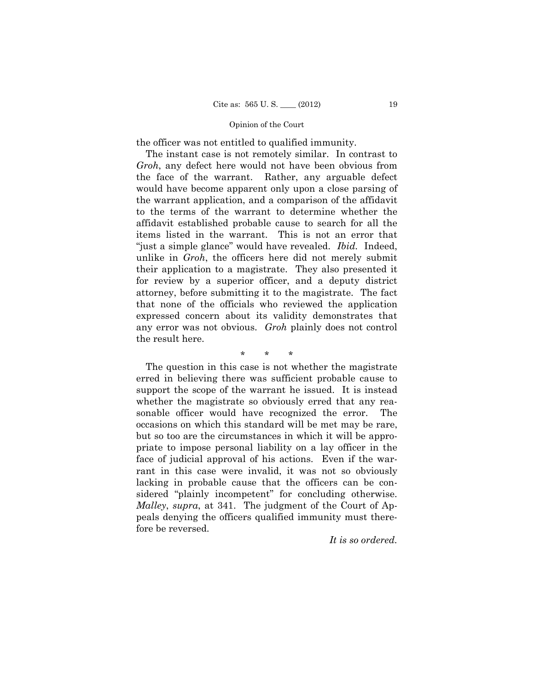the officer was not entitled to qualified immunity.

The instant case is not remotely similar. In contrast to *Groh*, any defect here would not have been obvious from the face of the warrant. Rather, any arguable defect would have become apparent only upon a close parsing of the warrant application, and a comparison of the affidavit to the terms of the warrant to determine whether the affidavit established probable cause to search for all the items listed in the warrant. This is not an error that "just a simple glance" would have revealed. *Ibid.* Indeed, unlike in *Groh*, the officers here did not merely submit their application to a magistrate. They also presented it for review by a superior officer, and a deputy district attorney, before submitting it to the magistrate. The fact that none of the officials who reviewed the application expressed concern about its validity demonstrates that any error was not obvious. *Groh* plainly does not control the result here.

# \* \* \*

The question in this case is not whether the magistrate erred in believing there was sufficient probable cause to support the scope of the warrant he issued. It is instead whether the magistrate so obviously erred that any reasonable officer would have recognized the error. The occasions on which this standard will be met may be rare, but so too are the circumstances in which it will be appropriate to impose personal liability on a lay officer in the face of judicial approval of his actions. Even if the warrant in this case were invalid, it was not so obviously lacking in probable cause that the officers can be considered "plainly incompetent" for concluding otherwise. *Malley*, *supra*, at 341. The judgment of the Court of Appeals denying the officers qualified immunity must therefore be reversed.

*It is so ordered.*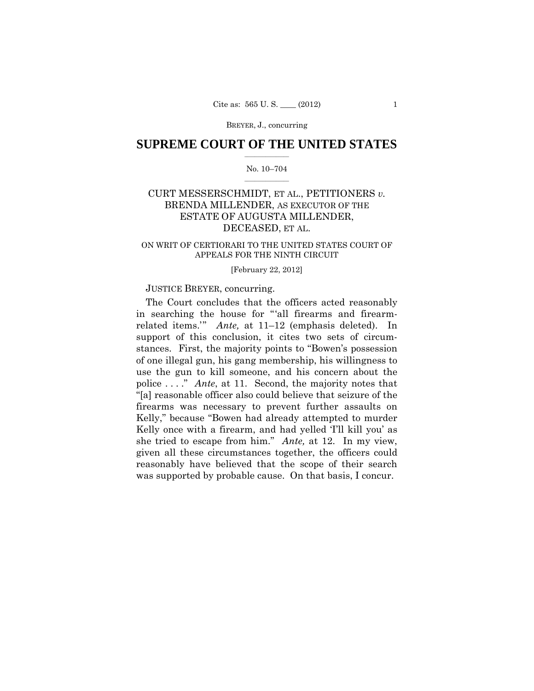BREYER, J., concurring

# $\frac{1}{2}$  ,  $\frac{1}{2}$  ,  $\frac{1}{2}$  ,  $\frac{1}{2}$  ,  $\frac{1}{2}$  ,  $\frac{1}{2}$  ,  $\frac{1}{2}$ **SUPREME COURT OF THE UNITED STATES**

### $\frac{1}{2}$  ,  $\frac{1}{2}$  ,  $\frac{1}{2}$  ,  $\frac{1}{2}$  ,  $\frac{1}{2}$  ,  $\frac{1}{2}$ No. 10–704

# ESTATE OF AUGUSTA MILLENDER, CURT MESSERSCHMIDT, ET AL., PETITIONERS *v.* BRENDA MILLENDER, AS EXECUTOR OF THE DECEASED, ET AL.

# ON WRIT OF CERTIORARI TO THE UNITED STATES COURT OF APPEALS FOR THE NINTH CIRCUIT

### [February 22, 2012]

## JUSTICE BREYER, concurring.

 police . . . ." *Ante*, at 11. Second, the majority notes that The Court concludes that the officers acted reasonably in searching the house for "'all firearms and firearmrelated items.'" *Ante,* at 11–12 (emphasis deleted). In support of this conclusion, it cites two sets of circumstances. First, the majority points to "Bowen's possession of one illegal gun, his gang membership, his willingness to use the gun to kill someone, and his concern about the "[a] reasonable officer also could believe that seizure of the firearms was necessary to prevent further assaults on Kelly," because "Bowen had already attempted to murder Kelly once with a firearm, and had yelled 'I'll kill you' as she tried to escape from him." *Ante,* at 12. In my view, given all these circumstances together, the officers could reasonably have believed that the scope of their search was supported by probable cause. On that basis, I concur.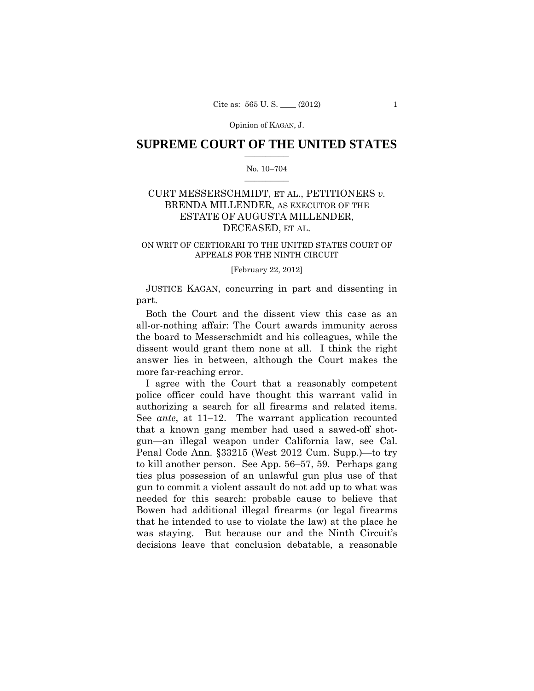## $\frac{1}{2}$  ,  $\frac{1}{2}$  ,  $\frac{1}{2}$  ,  $\frac{1}{2}$  ,  $\frac{1}{2}$  ,  $\frac{1}{2}$  ,  $\frac{1}{2}$ **SUPREME COURT OF THE UNITED STATES**

### $\frac{1}{2}$  ,  $\frac{1}{2}$  ,  $\frac{1}{2}$  ,  $\frac{1}{2}$  ,  $\frac{1}{2}$  ,  $\frac{1}{2}$ No. 10–704

# ESTATE OF AUGUSTA MILLENDER, CURT MESSERSCHMIDT, ET AL., PETITIONERS *v.* BRENDA MILLENDER, AS EXECUTOR OF THE DECEASED, ET AL.

# ON WRIT OF CERTIORARI TO THE UNITED STATES COURT OF APPEALS FOR THE NINTH CIRCUIT

### [February 22, 2012]

 JUSTICE KAGAN, concurring in part and dissenting in part.

Both the Court and the dissent view this case as an all-or-nothing affair: The Court awards immunity across the board to Messerschmidt and his colleagues, while the dissent would grant them none at all. I think the right answer lies in between, although the Court makes the more far-reaching error.

I agree with the Court that a reasonably competent police officer could have thought this warrant valid in authorizing a search for all firearms and related items. See *ante*, at 11–12. The warrant application recounted that a known gang member had used a sawed-off shotgun—an illegal weapon under California law, see Cal. Penal Code Ann. §33215 (West 2012 Cum. Supp.)—to try to kill another person. See App. 56–57, 59. Perhaps gang ties plus possession of an unlawful gun plus use of that gun to commit a violent assault do not add up to what was needed for this search: probable cause to believe that Bowen had additional illegal firearms (or legal firearms that he intended to use to violate the law) at the place he was staying. But because our and the Ninth Circuit's decisions leave that conclusion debatable, a reasonable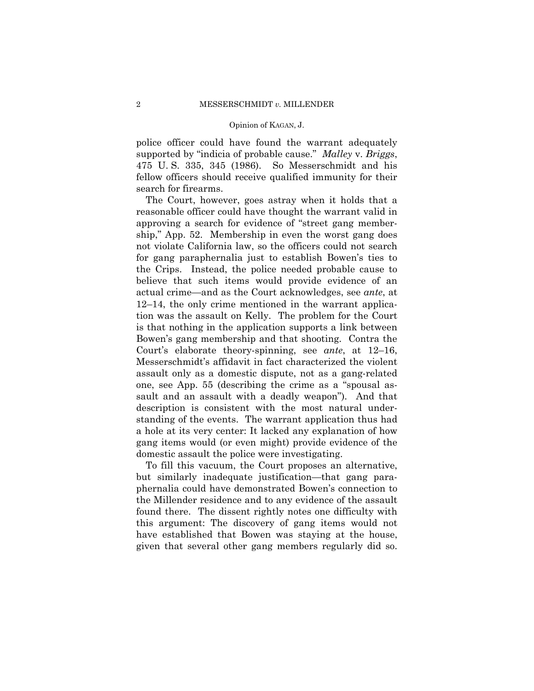police officer could have found the warrant adequately supported by "indicia of probable cause." *Malley* v. *Briggs*, 475 U. S. 335, 345 (1986). So Messerschmidt and his fellow officers should receive qualified immunity for their search for firearms.

The Court, however, goes astray when it holds that a reasonable officer could have thought the warrant valid in approving a search for evidence of "street gang membership," App. 52. Membership in even the worst gang does not violate California law, so the officers could not search for gang paraphernalia just to establish Bowen's ties to the Crips. Instead, the police needed probable cause to believe that such items would provide evidence of an actual crime—and as the Court acknowledges, see *ante*, at 12–14, the only crime mentioned in the warrant application was the assault on Kelly. The problem for the Court is that nothing in the application supports a link between Bowen's gang membership and that shooting. Contra the Court's elaborate theory-spinning, see *ante*, at 12–16, Messerschmidt's affidavit in fact characterized the violent assault only as a domestic dispute, not as a gang-related one, see App. 55 (describing the crime as a "spousal assault and an assault with a deadly weapon"). And that description is consistent with the most natural understanding of the events. The warrant application thus had a hole at its very center: It lacked any explanation of how gang items would (or even might) provide evidence of the domestic assault the police were investigating.

To fill this vacuum, the Court proposes an alternative, but similarly inadequate justification—that gang paraphernalia could have demonstrated Bowen's connection to the Millender residence and to any evidence of the assault found there. The dissent rightly notes one difficulty with this argument: The discovery of gang items would not have established that Bowen was staying at the house, given that several other gang members regularly did so.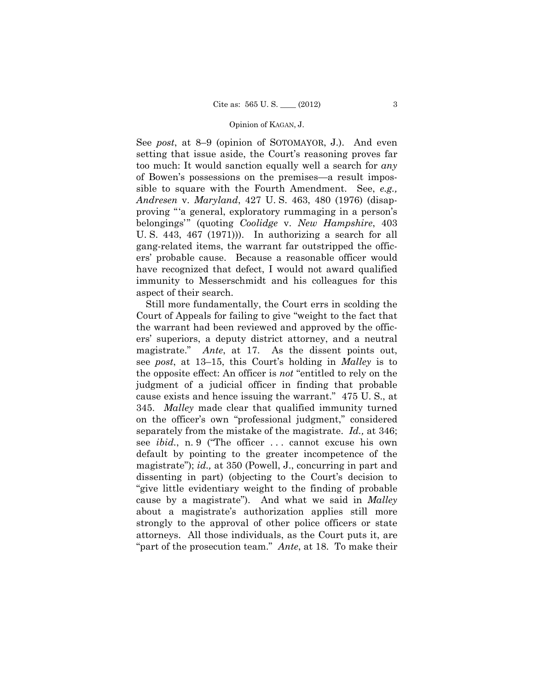See *post*, at 8–9 (opinion of SOTOMAYOR, J.). And even setting that issue aside, the Court's reasoning proves far too much: It would sanction equally well a search for *any*  of Bowen's possessions on the premises—a result impossible to square with the Fourth Amendment. See, *e.g., Andresen* v. *Maryland*, 427 U. S. 463, 480 (1976) (disapproving "'a general, exploratory rummaging in a person's belongings'" (quoting *Coolidge* v. *New Hampshire*, 403 U. S. 443, 467 (1971))). In authorizing a search for all gang-related items, the warrant far outstripped the officers' probable cause. Because a reasonable officer would have recognized that defect, I would not award qualified immunity to Messerschmidt and his colleagues for this aspect of their search.

magistrate." separately from the mistake of the magistrate. *Id.,* at 346; Still more fundamentally, the Court errs in scolding the Court of Appeals for failing to give "weight to the fact that the warrant had been reviewed and approved by the officers' superiors, a deputy district attorney, and a neutral Ante, at 17. As the dissent points out, see *post*, at 13–15, this Court's holding in *Malley* is to the opposite effect: An officer is *not* "entitled to rely on the judgment of a judicial officer in finding that probable cause exists and hence issuing the warrant." 475 U. S., at 345. *Malley* made clear that qualified immunity turned on the officer's own "professional judgment," considered see *ibid.*, n. 9 ("The officer ... cannot excuse his own default by pointing to the greater incompetence of the magistrate"); *id.,* at 350 (Powell, J., concurring in part and dissenting in part) (objecting to the Court's decision to "give little evidentiary weight to the finding of probable cause by a magistrate"). And what we said in *Malley* about a magistrate's authorization applies still more strongly to the approval of other police officers or state attorneys. All those individuals, as the Court puts it, are "part of the prosecution team." *Ante*, at 18. To make their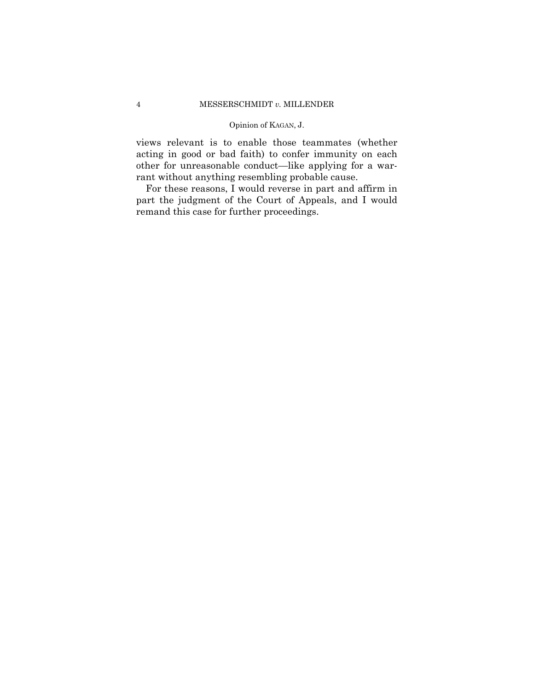views relevant is to enable those teammates (whether acting in good or bad faith) to confer immunity on each other for unreasonable conduct—like applying for a warrant without anything resembling probable cause.

For these reasons, I would reverse in part and affirm in part the judgment of the Court of Appeals, and I would remand this case for further proceedings.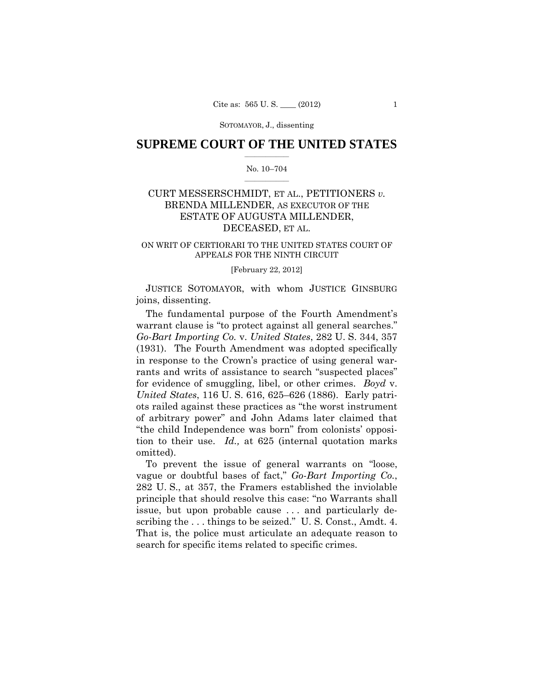## $\frac{1}{2}$  ,  $\frac{1}{2}$  ,  $\frac{1}{2}$  ,  $\frac{1}{2}$  ,  $\frac{1}{2}$  ,  $\frac{1}{2}$  ,  $\frac{1}{2}$ **SUPREME COURT OF THE UNITED STATES**

### $\frac{1}{2}$  ,  $\frac{1}{2}$  ,  $\frac{1}{2}$  ,  $\frac{1}{2}$  ,  $\frac{1}{2}$  ,  $\frac{1}{2}$ No. 10–704

# ESTATE OF AUGUSTA MILLENDER, CURT MESSERSCHMIDT, ET AL., PETITIONERS *v.* BRENDA MILLENDER, AS EXECUTOR OF THE DECEASED, ET AL.

# ON WRIT OF CERTIORARI TO THE UNITED STATES COURT OF APPEALS FOR THE NINTH CIRCUIT

### [February 22, 2012]

 JUSTICE SOTOMAYOR, with whom JUSTICE GINSBURG joins, dissenting.

The fundamental purpose of the Fourth Amendment's warrant clause is "to protect against all general searches." *Go-Bart Importing Co.* v. *United States*, 282 U. S. 344, 357 (1931). The Fourth Amendment was adopted specifically in response to the Crown's practice of using general warrants and writs of assistance to search "suspected places" for evidence of smuggling, libel, or other crimes. *Boyd* v. *United States*, 116 U. S. 616, 625–626 (1886). Early patriots railed against these practices as "the worst instrument of arbitrary power" and John Adams later claimed that "the child Independence was born" from colonists' opposition to their use. *Id.,* at 625 (internal quotation marks omitted).

scribing the . . . things to be seized." U. S. Const., Amdt. 4. That is, the police must articulate an adequate reason to To prevent the issue of general warrants on "loose, vague or doubtful bases of fact," *Go-Bart Importing Co.*, 282 U. S., at 357, the Framers established the inviolable principle that should resolve this case: "no Warrants shall issue, but upon probable cause . . . and particularly desearch for specific items related to specific crimes.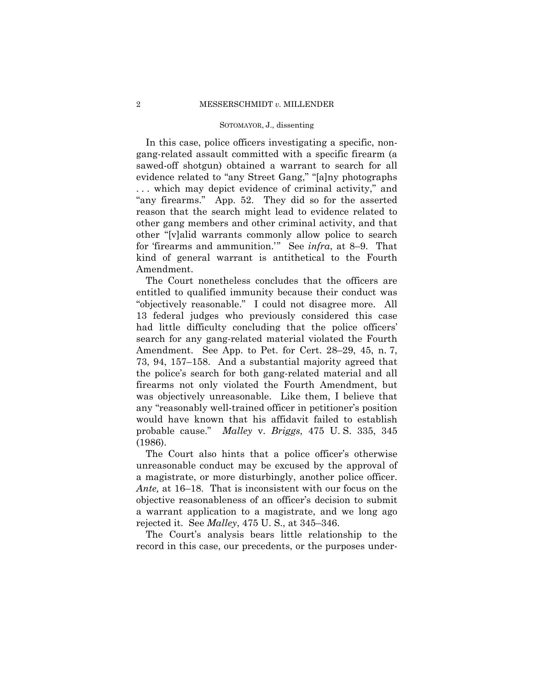In this case, police officers investigating a specific, nongang-related assault committed with a specific firearm (a sawed-off shotgun) obtained a warrant to search for all evidence related to "any Street Gang," "[a]ny photographs . . . which may depict evidence of criminal activity," and "any firearms." App. 52. They did so for the asserted reason that the search might lead to evidence related to other gang members and other criminal activity, and that other "[v]alid warrants commonly allow police to search for 'firearms and ammunition.'" See *infra*, at 8–9. That kind of general warrant is antithetical to the Fourth Amendment.

The Court nonetheless concludes that the officers are entitled to qualified immunity because their conduct was "objectively reasonable." I could not disagree more. All 13 federal judges who previously considered this case had little difficulty concluding that the police officers' search for any gang-related material violated the Fourth Amendment. See App. to Pet. for Cert. 28–29, 45, n. 7, 73, 94, 157–158. And a substantial majority agreed that the police's search for both gang-related material and all firearms not only violated the Fourth Amendment, but was objectively unreasonable. Like them, I believe that any "reasonably well-trained officer in petitioner's position would have known that his affidavit failed to establish probable cause." *Malley* v. *Briggs*, 475 U. S. 335, 345 (1986).

The Court also hints that a police officer's otherwise unreasonable conduct may be excused by the approval of a magistrate, or more disturbingly, another police officer. *Ante,* at 16–18. That is inconsistent with our focus on the objective reasonableness of an officer's decision to submit a warrant application to a magistrate, and we long ago rejected it. See *Malley*, 475 U. S., at 345–346.

The Court's analysis bears little relationship to the record in this case, our precedents, or the purposes under-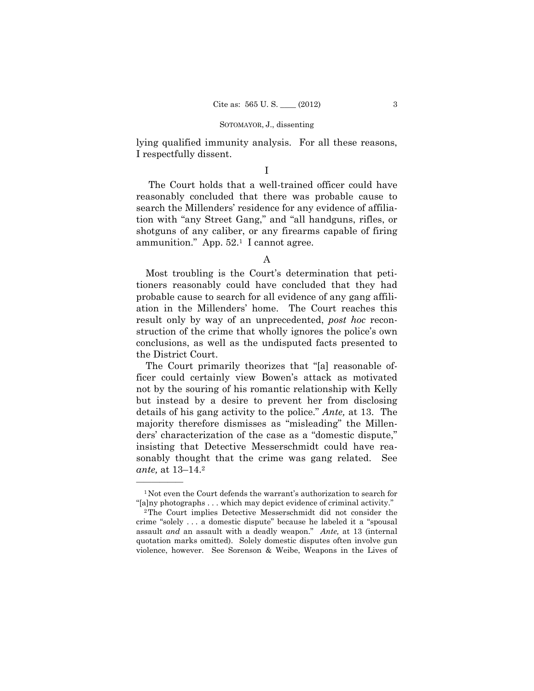lying qualified immunity analysis. For all these reasons, I respectfully dissent.

## I

The Court holds that a well-trained officer could have reasonably concluded that there was probable cause to search the Millenders' residence for any evidence of affiliation with "any Street Gang," and "all handguns, rifles, or shotguns of any caliber, or any firearms capable of firing ammunition." App.  $52.1$  I cannot agree.

A

Most troubling is the Court's determination that petitioners reasonably could have concluded that they had probable cause to search for all evidence of any gang affiliation in the Millenders' home. The Court reaches this result only by way of an unprecedented, *post hoc* reconstruction of the crime that wholly ignores the police's own conclusions, as well as the undisputed facts presented to the District Court.

The Court primarily theorizes that "[a] reasonable officer could certainly view Bowen's attack as motivated not by the souring of his romantic relationship with Kelly but instead by a desire to prevent her from disclosing details of his gang activity to the police." *Ante,* at 13. The majority therefore dismisses as "misleading" the Millenders' characterization of the case as a "domestic dispute," insisting that Detective Messerschmidt could have reasonably thought that the crime was gang related. See *ante,* at 13–14.2

<sup>&</sup>lt;sup>1</sup>Not even the Court defends the warrant's authorization to search for "[a]ny photographs . . . which may depict evidence of criminal activity." 2The Court implies Detective Messerschmidt did not consider the

crime "solely . . . a domestic dispute" because he labeled it a "spousal assault *and* an assault with a deadly weapon." *Ante,* at 13 (internal quotation marks omitted). Solely domestic disputes often involve gun violence, however. See Sorenson & Weibe, Weapons in the Lives of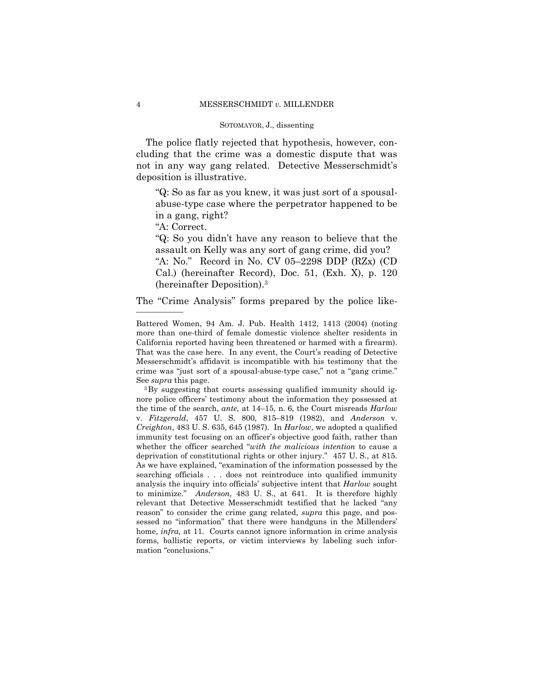The police flatly rejected that hypothesis, however, concluding that the crime was a domestic dispute that was not in any way gang related. Detective Messerschmidt's deposition is illustrative.

"Q: So as far as you knew, it was just sort of a spousalabuse-type case where the perpetrator happened to be in a gang, right?

"A: Correct.

"Q: So you didn't have any reason to believe that the assault on Kelly was any sort of gang crime, did you?

"A: No." Record in No. CV 05–2298 DDP (RZx) (CD Cal.) (hereinafter Record), Doc. 51, (Exh. X), p. 120 (hereinafter Deposition).3

The "Crime Analysis" forms prepared by the police like- ——————

 to minimize." *Anderson*, 483 U. S., at 641. It is therefore highly forms, ballistic reports, or victim interviews by labeling such infornore police officers' testimony about the information they possessed at the time of the search, *ante,* at 14–15, n. 6, the Court misreads *Harlow*  v. *Fitzgerald*, 457 U. S. 800, 815–819 (1982), and *Anderson* v. *Creighton*, 483 U. S. 635, 645 (1987). In *Harlow*, we adopted a qualified immunity test focusing on an officer's objective good faith, rather than whether the officer searched "*with the malicious intention* to cause a deprivation of constitutional rights or other injury." 457 U. S., at 815. As we have explained, "examination of the information possessed by the searching officials . . . does not reintroduce into qualified immunity analysis the inquiry into officials' subjective intent that *Harlow* sought relevant that Detective Messerschmidt testified that he lacked "any reason" to consider the crime gang related, *supra* this page, and possessed no "information" that there were handguns in the Millenders' home, *infra,* at 11. Courts cannot ignore information in crime analysis mation "conclusions."

Battered Women, 94 Am. J. Pub. Health 1412, 1413 (2004) (noting more than one-third of female domestic violence shelter residents in California reported having been threatened or harmed with a firearm). That was the case here. In any event, the Court's reading of Detective Messerschmidt's affidavit is incompatible with his testimony that the crime was "just sort of a spousal-abuse-type case," not a "gang crime." See *supra* this page.<br><sup>3</sup>By suggesting that courts assessing qualified immunity should ig-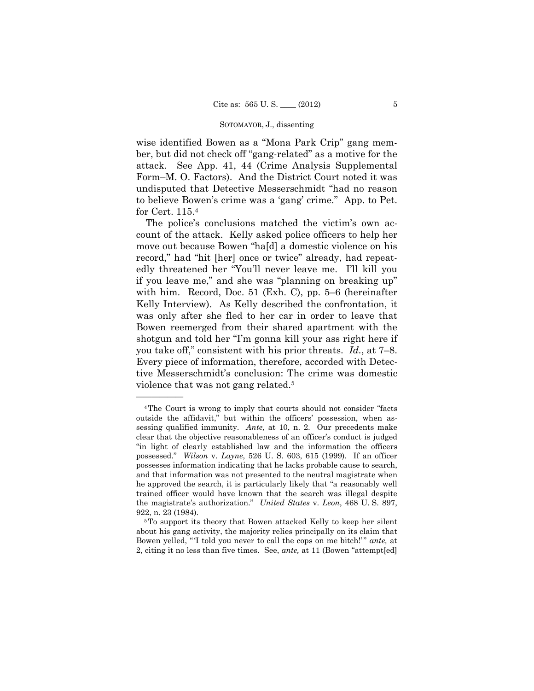Form–M. O. Factors). And the District Court noted it was wise identified Bowen as a "Mona Park Crip" gang member, but did not check off "gang-related" as a motive for the attack. See App. 41, 44 (Crime Analysis Supplemental undisputed that Detective Messerschmidt "had no reason to believe Bowen's crime was a 'gang' crime." App. to Pet. for Cert. 115.4

The police's conclusions matched the victim's own account of the attack. Kelly asked police officers to help her move out because Bowen "ha[d] a domestic violence on his record," had "hit [her] once or twice" already, had repeatedly threatened her "You'll never leave me. I'll kill you if you leave me," and she was "planning on breaking up" with him. Record, Doc. 51 (Exh. C), pp. 5–6 (hereinafter Kelly Interview). As Kelly described the confrontation, it was only after she fled to her car in order to leave that Bowen reemerged from their shared apartment with the shotgun and told her "I'm gonna kill your ass right here if you take off," consistent with his prior threats. *Id.*, at 7–8. Every piece of information, therefore, accorded with Detective Messerschmidt's conclusion: The crime was domestic violence that was not gang related.5

 possessed." *Wilson* v. *Layne*, 526 U. S. 603, 615 (1999). If an officer 4The Court is wrong to imply that courts should not consider "facts outside the affidavit," but within the officers' possession, when assessing qualified immunity. *Ante,* at 10, n. 2. Our precedents make clear that the objective reasonableness of an officer's conduct is judged "in light of clearly established law and the information the officers possesses information indicating that he lacks probable cause to search, and that information was not presented to the neutral magistrate when he approved the search, it is particularly likely that "a reasonably well trained officer would have known that the search was illegal despite the magistrate's authorization." *United States* v. *Leon*, 468 U. S. 897, 922, n. 23 (1984).<br> $5T_0$  support its theory that Bowen attacked Kelly to keep her silent

about his gang activity, the majority relies principally on its claim that Bowen yelled, "I told you never to call the cops on me bitch!" *ante*, at 2, citing it no less than five times. See, *ante,* at 11 (Bowen "attempt[ed]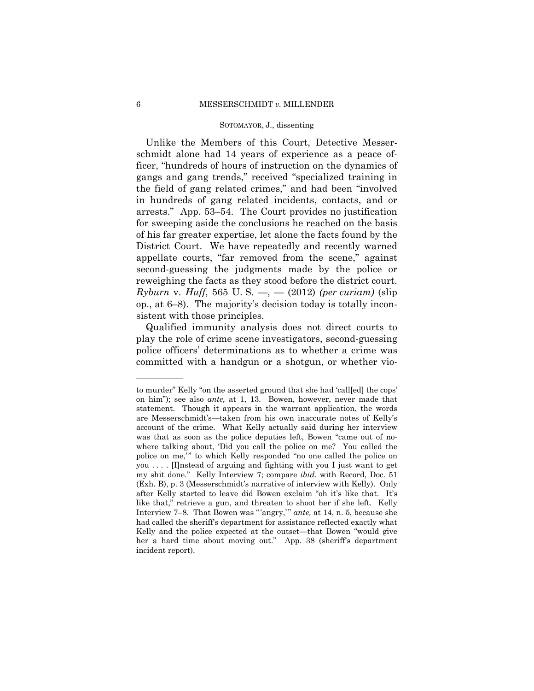Unlike the Members of this Court, Detective Messerschmidt alone had 14 years of experience as a peace officer, "hundreds of hours of instruction on the dynamics of gangs and gang trends," received "specialized training in the field of gang related crimes," and had been "involved in hundreds of gang related incidents, contacts, and or arrests." App. 53–54. The Court provides no justification for sweeping aside the conclusions he reached on the basis of his far greater expertise, let alone the facts found by the District Court. We have repeatedly and recently warned appellate courts, "far removed from the scene," against second-guessing the judgments made by the police or reweighing the facts as they stood before the district court. *Ryburn* v. *Huff*, 565 U. S. —, — (2012) *(per curiam)* (slip op., at 6–8). The majority's decision today is totally inconsistent with those principles.

Qualified immunity analysis does not direct courts to play the role of crime scene investigators, second-guessing police officers' determinations as to whether a crime was committed with a handgun or a shotgun, or whether vio-

to murder" Kelly "on the asserted ground that she had 'call[ed] the cops' on him"); see also *ante,* at 1, 13. Bowen, however, never made that statement. Though it appears in the warrant application, the words are Messerschmidt's—taken from his own inaccurate notes of Kelly's account of the crime. What Kelly actually said during her interview was that as soon as the police deputies left, Bowen "came out of nowhere talking about, 'Did you call the police on me? You called the police on me," to which Kelly responded "no one called the police on you . . . . [I]nstead of arguing and fighting with you I just want to get my shit done." Kelly Interview 7; compare *ibid*. with Record, Doc. 51 (Exh. B), p. 3 (Messerschmidt's narrative of interview with Kelly). Only after Kelly started to leave did Bowen exclaim "oh it's like that. It's like that," retrieve a gun, and threaten to shoot her if she left*.* Kelly Interview 7–8. That Bowen was " 'angry,' " *ante,* at 14, n. 5, because she had called the sheriff's department for assistance reflected exactly what Kelly and the police expected at the outset—that Bowen "would give her a hard time about moving out." App. 38 (sheriff's department incident report).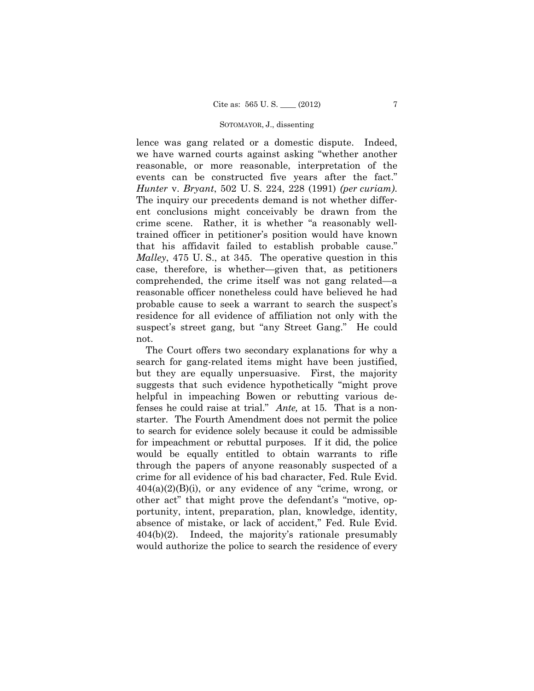suspect's street gang, but "any Street Gang." He could lence was gang related or a domestic dispute. Indeed, we have warned courts against asking "whether another reasonable, or more reasonable, interpretation of the events can be constructed five years after the fact." *Hunter* v. *Bryant*, 502 U. S. 224, 228 (1991) *(per curiam)*. The inquiry our precedents demand is not whether different conclusions might conceivably be drawn from the crime scene. Rather, it is whether "a reasonably welltrained officer in petitioner's position would have known that his affidavit failed to establish probable cause." *Malley*, 475 U. S., at 345. The operative question in this case, therefore, is whether—given that, as petitioners comprehended, the crime itself was not gang related—a reasonable officer nonetheless could have believed he had probable cause to seek a warrant to search the suspect's residence for all evidence of affiliation not only with the not.

 for impeachment or rebuttal purposes. If it did, the police The Court offers two secondary explanations for why a search for gang-related items might have been justified, but they are equally unpersuasive. First, the majority suggests that such evidence hypothetically "might prove helpful in impeaching Bowen or rebutting various defenses he could raise at trial." *Ante,* at 15. That is a nonstarter. The Fourth Amendment does not permit the police to search for evidence solely because it could be admissible would be equally entitled to obtain warrants to rifle through the papers of anyone reasonably suspected of a crime for all evidence of his bad character, Fed. Rule Evid.  $404(a)(2)(B)(i)$ , or any evidence of any "crime, wrong, or other act" that might prove the defendant's "motive, opportunity, intent, preparation, plan, knowledge, identity, absence of mistake, or lack of accident," Fed. Rule Evid. 404(b)(2). Indeed, the majority's rationale presumably would authorize the police to search the residence of every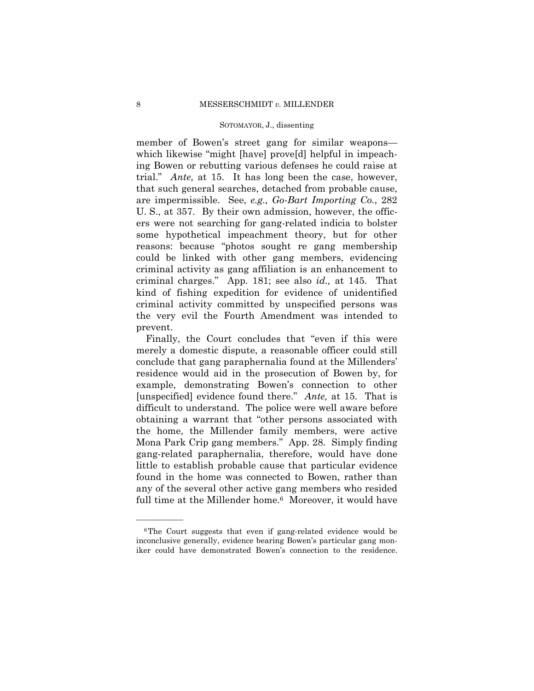member of Bowen's street gang for similar weapons which likewise "might [have] prove[d] helpful in impeaching Bowen or rebutting various defenses he could raise at trial." *Ante*, at 15. It has long been the case, however, that such general searches, detached from probable cause, are impermissible. See, *e.g., Go-Bart Importing Co.*, 282 U. S., at 357. By their own admission, however, the officers were not searching for gang-related indicia to bolster some hypothetical impeachment theory, but for other reasons: because "photos sought re gang membership could be linked with other gang members, evidencing criminal activity as gang affiliation is an enhancement to criminal charges." App. 181; see also *id.,* at 145. That kind of fishing expedition for evidence of unidentified criminal activity committed by unspecified persons was the very evil the Fourth Amendment was intended to prevent.

full time at the Millender home.<sup>6</sup> Moreover, it would have Finally, the Court concludes that "even if this were merely a domestic dispute, a reasonable officer could still conclude that gang paraphernalia found at the Millenders' residence would aid in the prosecution of Bowen by, for example, demonstrating Bowen's connection to other [unspecified] evidence found there." *Ante,* at 15. That is difficult to understand. The police were well aware before obtaining a warrant that "other persons associated with the home, the Millender family members, were active Mona Park Crip gang members." App. 28. Simply finding gang-related paraphernalia, therefore, would have done little to establish probable cause that particular evidence found in the home was connected to Bowen, rather than any of the several other active gang members who resided

<sup>6</sup>The Court suggests that even if gang-related evidence would be inconclusive generally, evidence bearing Bowen's particular gang moniker could have demonstrated Bowen's connection to the residence.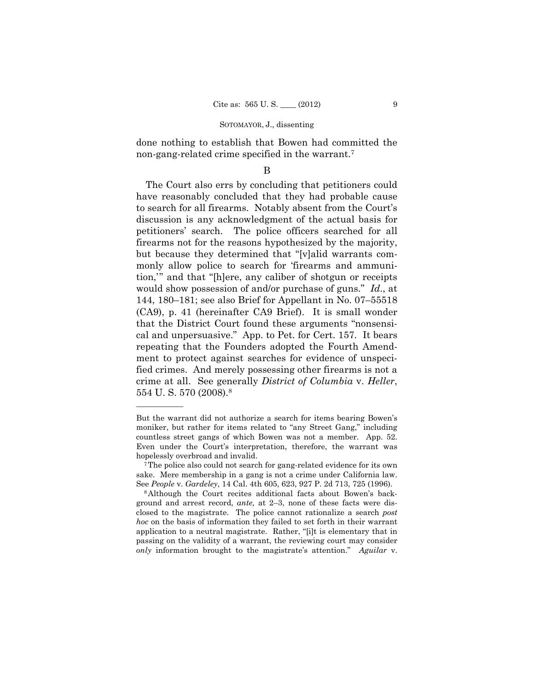done nothing to establish that Bowen had committed the non-gang-related crime specified in the warrant.7

### B

The Court also errs by concluding that petitioners could have reasonably concluded that they had probable cause to search for all firearms. Notably absent from the Court's discussion is any acknowledgment of the actual basis for petitioners' search. The police officers searched for all firearms not for the reasons hypothesized by the majority, but because they determined that "[v]alid warrants commonly allow police to search for 'firearms and ammunition,'" and that "[h]ere, any caliber of shotgun or receipts would show possession of and/or purchase of guns." *Id*., at 144, 180–181; see also Brief for Appellant in No. 07–55518 (CA9), p. 41 (hereinafter CA9 Brief). It is small wonder that the District Court found these arguments "nonsensical and unpersuasive." App. to Pet. for Cert. 157. It bears repeating that the Founders adopted the Fourth Amendment to protect against searches for evidence of unspecified crimes. And merely possessing other firearms is not a crime at all. See generally *District of Columbia* v. *Heller*, 554 U. S. 570 (2008).8

But the warrant did not authorize a search for items bearing Bowen's moniker, but rather for items related to "any Street Gang," including countless street gangs of which Bowen was not a member. App. 52. Even under the Court's interpretation, therefore, the warrant was hopelessly overbroad and invalid.<br><sup>7</sup>The police also could not search for gang-related evidence for its own

sake. Mere membership in a gang is not a crime under California law.

See *People* v. *Gardeley*, 14 Cal. 4th 605, 623, 927 P. 2d 713, 725 (1996).<br><sup>8</sup>Although the Court recites additional facts about Bowen's background and arrest record, *ante,* at 2–3, none of these facts were disclosed to the magistrate. The police cannot rationalize a search *post hoc* on the basis of information they failed to set forth in their warrant application to a neutral magistrate. Rather, "[i]t is elementary that in passing on the validity of a warrant, the reviewing court may consider *only* information brought to the magistrate's attention." *Aguilar* v.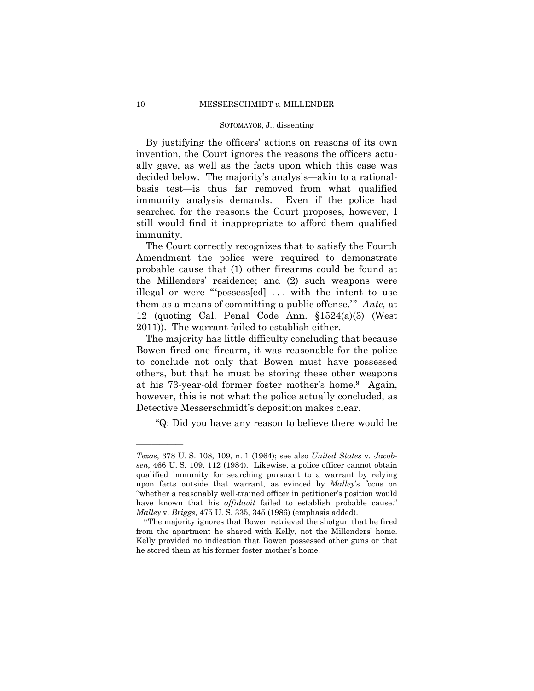By justifying the officers' actions on reasons of its own invention, the Court ignores the reasons the officers actually gave, as well as the facts upon which this case was decided below. The majority's analysis—akin to a rationalbasis test—is thus far removed from what qualified immunity analysis demands. Even if the police had searched for the reasons the Court proposes, however, I still would find it inappropriate to afford them qualified immunity.

The Court correctly recognizes that to satisfy the Fourth Amendment the police were required to demonstrate probable cause that (1) other firearms could be found at the Millenders' residence; and (2) such weapons were illegal or were "'possess[ed] . . . with the intent to use them as a means of committing a public offense.'" *Ante,* at 12 (quoting Cal. Penal Code Ann. §1524(a)(3) (West 2011)). The warrant failed to establish either.

The majority has little difficulty concluding that because Bowen fired one firearm, it was reasonable for the police to conclude not only that Bowen must have possessed others, but that he must be storing these other weapons at his 73-year-old former foster mother's home.9 Again, however, this is not what the police actually concluded, as Detective Messerschmidt's deposition makes clear.

"Q: Did you have any reason to believe there would be

*Texas*, 378 U. S. 108, 109, n. 1 (1964); see also *United States* v. *Jacobsen*, 466 U. S. 109, 112 (1984). Likewise, a police officer cannot obtain qualified immunity for searching pursuant to a warrant by relying upon facts outside that warrant, as evinced by *Malley*'s focus on "whether a reasonably well-trained officer in petitioner's position would have known that his *affidavit* failed to establish probable cause."

*Malley* v. *Briggs*, 475 U. S. 335, 345 (1986) (emphasis added).<br><sup>9</sup>The majority ignores that Bowen retrieved the shotgun that he fired from the apartment he shared with Kelly, not the Millenders' home. Kelly provided no indication that Bowen possessed other guns or that he stored them at his former foster mother's home.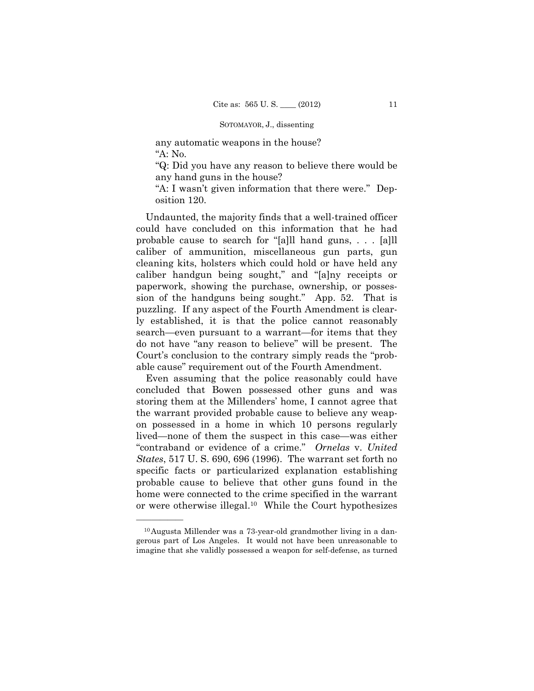any automatic weapons in the house? "A: No.

"Q: Did you have any reason to believe there would be any hand guns in the house?

"A: I wasn't given information that there were." Deposition 120.

Undaunted, the majority finds that a well-trained officer could have concluded on this information that he had probable cause to search for "[a]ll hand guns, . . . [a]ll caliber of ammunition, miscellaneous gun parts, gun cleaning kits, holsters which could hold or have held any caliber handgun being sought," and "[a]ny receipts or paperwork, showing the purchase, ownership, or possession of the handguns being sought." App. 52. That is puzzling. If any aspect of the Fourth Amendment is clearly established, it is that the police cannot reasonably search—even pursuant to a warrant—for items that they do not have "any reason to believe" will be present. The Court's conclusion to the contrary simply reads the "probable cause" requirement out of the Fourth Amendment.

Even assuming that the police reasonably could have concluded that Bowen possessed other guns and was storing them at the Millenders' home, I cannot agree that the warrant provided probable cause to believe any weapon possessed in a home in which 10 persons regularly lived—none of them the suspect in this case—was either "contraband or evidence of a crime." *Ornelas* v. *United States*, 517 U. S. 690, 696 (1996). The warrant set forth no specific facts or particularized explanation establishing probable cause to believe that other guns found in the home were connected to the crime specified in the warrant or were otherwise illegal.10 While the Court hypothesizes

<sup>10</sup>Augusta Millender was a 73-year-old grandmother living in a dangerous part of Los Angeles. It would not have been unreasonable to imagine that she validly possessed a weapon for self-defense, as turned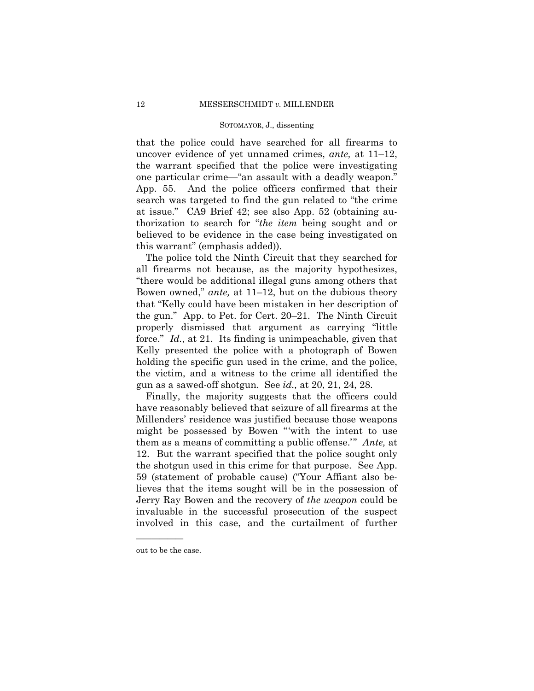that the police could have searched for all firearms to uncover evidence of yet unnamed crimes, *ante,* at 11–12, the warrant specified that the police were investigating one particular crime—"an assault with a deadly weapon." App. 55. And the police officers confirmed that their search was targeted to find the gun related to "the crime at issue." CA9 Brief 42; see also App. 52 (obtaining authorization to search for "*the item* being sought and or believed to be evidence in the case being investigated on this warrant" (emphasis added)).

The police told the Ninth Circuit that they searched for all firearms not because, as the majority hypothesizes, "there would be additional illegal guns among others that Bowen owned," *ante,* at 11–12, but on the dubious theory that "Kelly could have been mistaken in her description of the gun." App. to Pet. for Cert. 20–21. The Ninth Circuit properly dismissed that argument as carrying "little force." *Id.*, at 21. Its finding is unimpeachable, given that Kelly presented the police with a photograph of Bowen holding the specific gun used in the crime, and the police, the victim, and a witness to the crime all identified the gun as a sawed-off shotgun. See *id.,* at 20, 21, 24, 28.

Finally, the majority suggests that the officers could have reasonably believed that seizure of all firearms at the Millenders' residence was justified because those weapons might be possessed by Bowen "'with the intent to use them as a means of committing a public offense.'" *Ante,* at 12. But the warrant specified that the police sought only the shotgun used in this crime for that purpose. See App. 59 (statement of probable cause) ("Your Affiant also believes that the items sought will be in the possession of Jerry Ray Bowen and the recovery of *the weapon* could be invaluable in the successful prosecution of the suspect involved in this case, and the curtailment of further

out to be the case.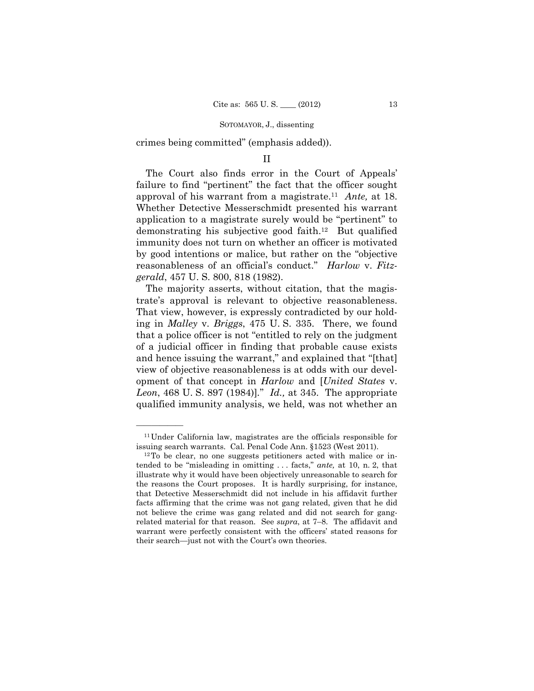crimes being committed" (emphasis added)).

## II

 approval of his warrant from a magistrate.11 *Ante,* at 18. The Court also finds error in the Court of Appeals' failure to find "pertinent" the fact that the officer sought Whether Detective Messerschmidt presented his warrant application to a magistrate surely would be "pertinent" to demonstrating his subjective good faith.12 But qualified immunity does not turn on whether an officer is motivated by good intentions or malice, but rather on the "objective reasonableness of an official's conduct." *Harlow* v. *Fitzgerald*, 457 U. S. 800, 818 (1982).

The majority asserts, without citation, that the magistrate's approval is relevant to objective reasonableness. That view, however, is expressly contradicted by our holding in *Malley* v. *Briggs*, 475 U. S. 335. There, we found that a police officer is not "entitled to rely on the judgment of a judicial officer in finding that probable cause exists and hence issuing the warrant," and explained that "[that] view of objective reasonableness is at odds with our development of that concept in *Harlow* and [*United States* v. *Leon*, 468 U. S. 897 (1984)]*.*" *Id.,* at 345. The appropriate qualified immunity analysis, we held, was not whether an

<sup>11</sup>Under California law, magistrates are the officials responsible for issuing search warrants. Cal. Penal Code Ann. §1523 (West 2011). 12To be clear, no one suggests petitioners acted with malice or in-

tended to be "misleading in omitting . . . facts," *ante,* at 10, n. 2, that illustrate why it would have been objectively unreasonable to search for the reasons the Court proposes. It is hardly surprising, for instance, that Detective Messerschmidt did not include in his affidavit further facts affirming that the crime was not gang related, given that he did not believe the crime was gang related and did not search for gangrelated material for that reason. See *supra*, at 7–8. The affidavit and warrant were perfectly consistent with the officers' stated reasons for their search—just not with the Court's own theories.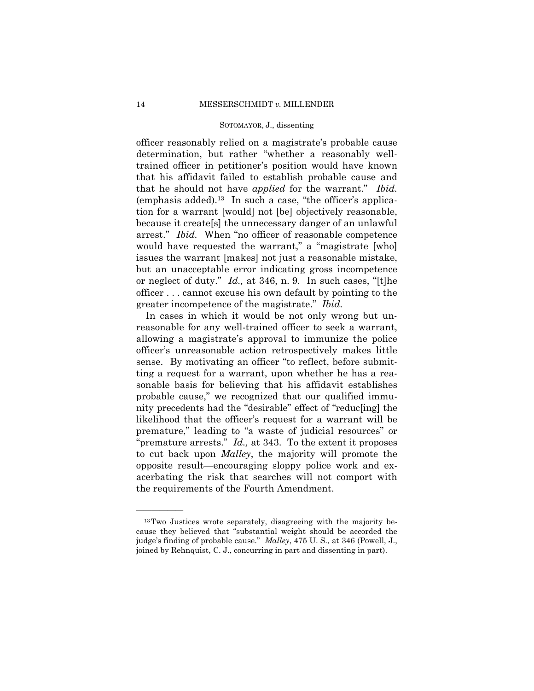officer reasonably relied on a magistrate's probable cause determination, but rather "whether a reasonably welltrained officer in petitioner's position would have known that his affidavit failed to establish probable cause and that he should not have *applied* for the warrant." *Ibid.*  (emphasis added).13 In such a case, "the officer's application for a warrant [would] not [be] objectively reasonable, because it create[s] the unnecessary danger of an unlawful arrest." *Ibid.* When "no officer of reasonable competence would have requested the warrant," a "magistrate [who] issues the warrant [makes] not just a reasonable mistake, but an unacceptable error indicating gross incompetence or neglect of duty." *Id.,* at 346, n. 9. In such cases, "[t]he officer . . . cannot excuse his own default by pointing to the greater incompetence of the magistrate." *Ibid.* 

In cases in which it would be not only wrong but unreasonable for any well-trained officer to seek a warrant, allowing a magistrate's approval to immunize the police officer's unreasonable action retrospectively makes little sense. By motivating an officer "to reflect, before submitting a request for a warrant, upon whether he has a reasonable basis for believing that his affidavit establishes probable cause," we recognized that our qualified immunity precedents had the "desirable" effect of "reduc[ing] the likelihood that the officer's request for a warrant will be premature," leading to "a waste of judicial resources" or "premature arrests." *Id.,* at 343. To the extent it proposes to cut back upon *Malley*, the majority will promote the opposite result—encouraging sloppy police work and exacerbating the risk that searches will not comport with the requirements of the Fourth Amendment.

<sup>13</sup>Two Justices wrote separately, disagreeing with the majority because they believed that "substantial weight should be accorded the judge's finding of probable cause." *Malley*, 475 U. S., at 346 (Powell, J., joined by Rehnquist, C. J., concurring in part and dissenting in part).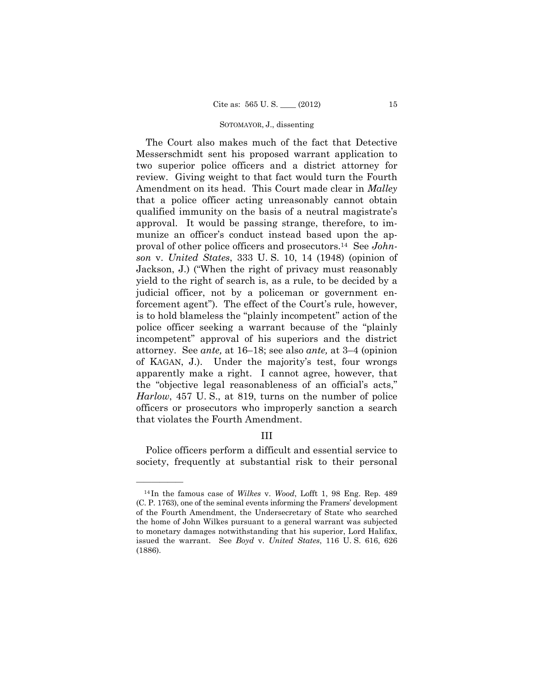The Court also makes much of the fact that Detective Messerschmidt sent his proposed warrant application to two superior police officers and a district attorney for review. Giving weight to that fact would turn the Fourth Amendment on its head. This Court made clear in *Malley* that a police officer acting unreasonably cannot obtain qualified immunity on the basis of a neutral magistrate's approval. It would be passing strange, therefore, to immunize an officer's conduct instead based upon the approval of other police officers and prosecutors.14 See *Johnson* v. *United States*, 333 U. S. 10, 14 (1948) (opinion of Jackson, J.) ("When the right of privacy must reasonably yield to the right of search is, as a rule, to be decided by a judicial officer, not by a policeman or government enforcement agent"). The effect of the Court's rule, however, is to hold blameless the "plainly incompetent" action of the police officer seeking a warrant because of the "plainly incompetent" approval of his superiors and the district attorney. See *ante,* at 16–18; see also *ante,* at 3–4 (opinion of KAGAN, J.). Under the majority's test, four wrongs apparently make a right. I cannot agree, however, that the "objective legal reasonableness of an official's acts," *Harlow*, 457 U. S., at 819, turns on the number of police officers or prosecutors who improperly sanction a search that violates the Fourth Amendment.

# III

Police officers perform a difficult and essential service to society, frequently at substantial risk to their personal

<sup>14</sup> In the famous case of *Wilkes* v. *Wood*, Lofft 1, 98 Eng. Rep. 489 (C. P. 1763), one of the seminal events informing the Framers' development of the Fourth Amendment, the Undersecretary of State who searched the home of John Wilkes pursuant to a general warrant was subjected to monetary damages notwithstanding that his superior, Lord Halifax, issued the warrant. See *Boyd* v. *United States*, 116 U. S. 616, 626 (1886).